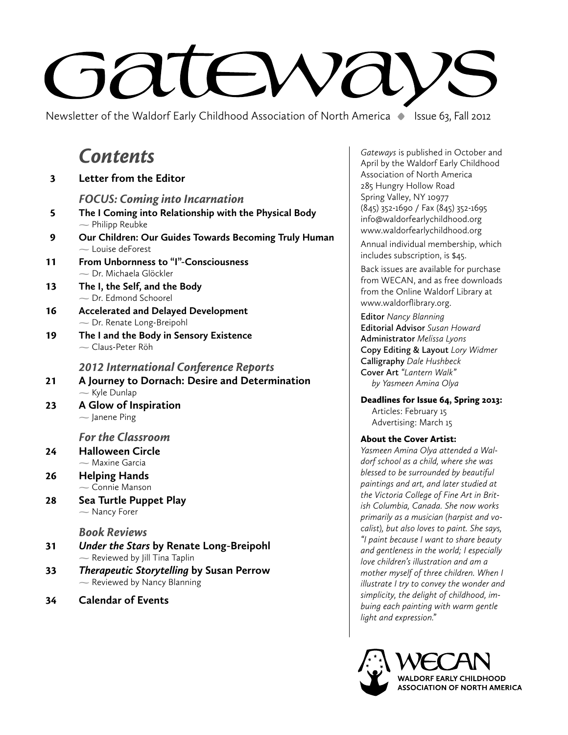# A.  $-\lambda$

Newsletter of the Waldorf Early Childhood Association of North America **•** Issue 63, Fall 2012

# Contents

| $\overline{\mathbf{3}}$ | <b>Letter from the Editor</b>                                                   | Associa<br>285 Hur                       |
|-------------------------|---------------------------------------------------------------------------------|------------------------------------------|
|                         | <b>FOCUS: Coming into Incarnation</b>                                           | Spring \                                 |
| 5                       | The I Coming into Relationship with the Physical Body<br>$\sim$ Philipp Reubke  | $(845)$ 35<br>info@w                     |
| 9                       | Our Children: Our Guides Towards Becoming Truly Human<br>$\sim$ Louise deForest | www.w<br>Annual<br>include:              |
| 11                      | From Unbornness to "I"-Consciousness<br>- Dr. Michaela Glöckler                 | Back iss<br>from W                       |
| 13                      | The I, the Self, and the Body<br>$\sim$ Dr. Edmond Schoorel                     | from th<br>www.w                         |
| 16                      | <b>Accelerated and Delayed Development</b><br>- Dr. Renate Long-Breipohl        | Editor /<br>Editoria                     |
| 19                      | The I and the Body in Sensory Existence<br>$\sim$ Claus-Peter Röh               | Admini:<br>Copy E                        |
|                         | <b>2012 International Conference Reports</b>                                    | Calligra<br>Cover /                      |
| 21                      | A Journey to Dornach: Desire and Determination<br>$\sim$ Kyle Dunlap            | by Yo                                    |
| 23                      | A Glow of Inspiration<br>$\sim$ Janene Ping                                     | <b>Deadlir</b><br>Artic<br>Adve          |
|                         | <b>For the Classroom</b>                                                        | About 1                                  |
| 24                      | <b>Halloween Circle</b><br>$\sim$ Maxine Garcia                                 | Yasmeer<br>dorf sch                      |
| 26                      | <b>Helping Hands</b>                                                            | blessed<br>painting                      |
| 28                      | $\sim$ Connie Manson<br>Sea Turtle Puppet Play<br>- Nancy Forer                 | the Vict<br>ish Colu<br>primaril         |
|                         | <b>Book Reviews</b>                                                             | calist), b                               |
| 31                      | Under the Stars by Renate Long-Breipohl<br>$\sim$ Reviewed by Jill Tina Taplin  | "I paint<br>and gen<br>love chil         |
| 33                      | <b>Therapeutic Storytelling by Susan Perrow</b><br>- Reviewed by Nancy Blanning | mother<br>illustrate<br>فالمرازل وروادها |
|                         |                                                                                 |                                          |

34 **Calendar of Events**

*Gateways* is published in October and April by the Waldorf Early Childhood ation of North America ngry Hollow Road Valley, NY 10977 (845) 352-1690 / Fax (845) 352-1695 aldorfearlychildhood.org aldorfearlychildhood.org

individual membership, which s subscription, is \$45.

sues are available for purchase **ECAN, and as free downloads** e Online Waldorf Library at aldorflibrary.org.

**Editor** *Nancy Blanning* **Editorial Advisor** *Susan Howard*  **Administrator** *Melissa Lyons* **Copy Editing & Layout** *Lory Widmer* **Calligraphy** *Dale Hushbeck*  **Cover Art** *"Lantern Walk" by Yasmeen Amina Olya*

nes for Issue 64, Spring 2013: rles: February 15 ertising: March 15

### the Cover Artist:

*Yasmeen Amina Olya attended a Waldorf school as a child, where she was blessed to be surrounded by beautiful paintings and art, and later studied at the Victoria College of Fine Art in British Columbia, Canada. She now works primarily as a musician (harpist and vocalist), but also loves to paint. She says, because I want to share beauty and gentleness in the world; I especially love children's illustration and am a myself of three children. When I illustrate I try to convey the wonder and simplicity, the delight of childhood, imbuing each painting with warm gentle light and expression."*

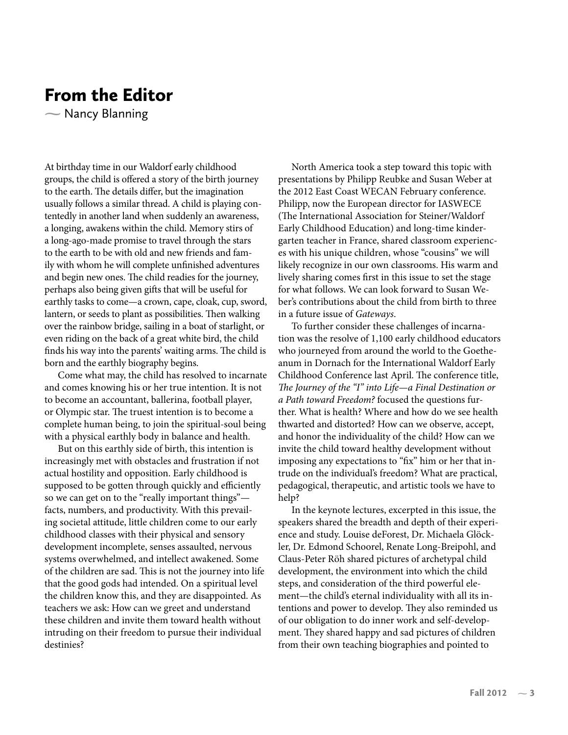# From the Editor

 $\sim$  Nancy Blanning

At birthday time in our Waldorf early childhood groups, the child is offered a story of the birth journey to the earth. The details differ, but the imagination usually follows a similar thread. A child is playing contentedly in another land when suddenly an awareness, a longing, awakens within the child. Memory stirs of a long-ago-made promise to travel through the stars to the earth to be with old and new friends and family with whom he will complete unfinished adventures and begin new ones. The child readies for the journey, perhaps also being given gifts that will be useful for earthly tasks to come—a crown, cape, cloak, cup, sword, lantern, or seeds to plant as possibilities. Then walking over the rainbow bridge, sailing in a boat of starlight, or even riding on the back of a great white bird, the child finds his way into the parents' waiting arms. The child is born and the earthly biography begins.

Come what may, the child has resolved to incarnate and comes knowing his or her true intention. It is not to become an accountant, ballerina, football player, or Olympic star. The truest intention is to become a complete human being, to join the spiritual-soul being with a physical earthly body in balance and health.

But on this earthly side of birth, this intention is increasingly met with obstacles and frustration if not actual hostility and opposition. Early childhood is supposed to be gotten through quickly and efficiently so we can get on to the "really important things" facts, numbers, and productivity. With this prevailing societal attitude, little children come to our early childhood classes with their physical and sensory development incomplete, senses assaulted, nervous systems overwhelmed, and intellect awakened. Some of the children are sad. This is not the journey into life that the good gods had intended. On a spiritual level the children know this, and they are disappointed. As teachers we ask: How can we greet and understand these children and invite them toward health without intruding on their freedom to pursue their individual destinies?

North America took a step toward this topic with presentations by Philipp Reubke and Susan Weber at the 2012 East Coast WECAN February conference. Philipp, now the European director for IASWECE (The International Association for Steiner/Waldorf Early Childhood Education) and long-time kindergarten teacher in France, shared classroom experiences with his unique children, whose "cousins" we will likely recognize in our own classrooms. His warm and lively sharing comes first in this issue to set the stage for what follows. We can look forward to Susan Weber's contributions about the child from birth to three in a future issue of *Gateways*.

To further consider these challenges of incarnation was the resolve of 1,100 early childhood educators who journeyed from around the world to the Goetheanum in Dornach for the International Waldorf Early Childhood Conference last April. The conference title, *The Journey of the "I" into Life—a Final Destination or a Path toward Freedom?* focused the questions further. What is health? Where and how do we see health thwarted and distorted? How can we observe, accept, and honor the individuality of the child? How can we invite the child toward healthy development without imposing any expectations to "fix" him or her that intrude on the individual's freedom? What are practical, pedagogical, therapeutic, and artistic tools we have to help?

In the keynote lectures, excerpted in this issue, the speakers shared the breadth and depth of their experience and study. Louise deForest, Dr. Michaela Glöckler, Dr. Edmond Schoorel, Renate Long-Breipohl, and Claus-Peter Röh shared pictures of archetypal child development, the environment into which the child steps, and consideration of the third powerful element—the child's eternal individuality with all its intentions and power to develop. They also reminded us of our obligation to do inner work and self-development. They shared happy and sad pictures of children from their own teaching biographies and pointed to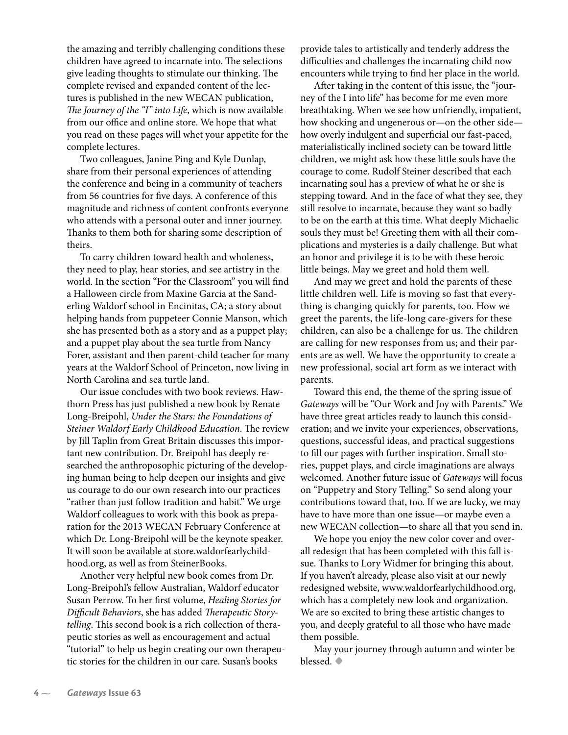the amazing and terribly challenging conditions these children have agreed to incarnate into. The selections give leading thoughts to stimulate our thinking. The complete revised and expanded content of the lectures is published in the new WECAN publication, *The Journey of the "I" into Life*, which is now available from our office and online store. We hope that what you read on these pages will whet your appetite for the complete lectures.

Two colleagues, Janine Ping and Kyle Dunlap, share from their personal experiences of attending the conference and being in a community of teachers from 56 countries for five days. A conference of this magnitude and richness of content confronts everyone who attends with a personal outer and inner journey. Thanks to them both for sharing some description of theirs.

To carry children toward health and wholeness, they need to play, hear stories, and see artistry in the world. In the section "For the Classroom" you will find a Halloween circle from Maxine Garcia at the Sanderling Waldorf school in Encinitas, CA; a story about helping hands from puppeteer Connie Manson, which she has presented both as a story and as a puppet play; and a puppet play about the sea turtle from Nancy Forer, assistant and then parent-child teacher for many years at the Waldorf School of Princeton, now living in North Carolina and sea turtle land.

Our issue concludes with two book reviews. Hawthorn Press has just published a new book by Renate Long-Breipohl, *Under the Stars: the Foundations of Steiner Waldorf Early Childhood Education*. The review by Jill Taplin from Great Britain discusses this important new contribution. Dr. Breipohl has deeply researched the anthroposophic picturing of the developing human being to help deepen our insights and give us courage to do our own research into our practices "rather than just follow tradition and habit." We urge Waldorf colleagues to work with this book as preparation for the 2013 WECAN February Conference at which Dr. Long-Breipohl will be the keynote speaker. It will soon be available at store.waldorfearlychildhood.org, as well as from SteinerBooks.

Another very helpful new book comes from Dr. Long-Breipohl's fellow Australian, Waldorf educator Susan Perrow. To her first volume, *Healing Stories for Difficult Behaviors*, she has added *Therapeutic Storytelling*. This second book is a rich collection of therapeutic stories as well as encouragement and actual "tutorial" to help us begin creating our own therapeutic stories for the children in our care. Susan's books

provide tales to artistically and tenderly address the difficulties and challenges the incarnating child now encounters while trying to find her place in the world.

After taking in the content of this issue, the "journey of the I into life" has become for me even more breathtaking. When we see how unfriendly, impatient, how shocking and ungenerous or—on the other side how overly indulgent and superficial our fast-paced, materialistically inclined society can be toward little children, we might ask how these little souls have the courage to come. Rudolf Steiner described that each incarnating soul has a preview of what he or she is stepping toward. And in the face of what they see, they still resolve to incarnate, because they want so badly to be on the earth at this time. What deeply Michaelic souls they must be! Greeting them with all their complications and mysteries is a daily challenge. But what an honor and privilege it is to be with these heroic little beings. May we greet and hold them well.

And may we greet and hold the parents of these little children well. Life is moving so fast that everything is changing quickly for parents, too. How we greet the parents, the life-long care-givers for these children, can also be a challenge for us. The children are calling for new responses from us; and their parents are as well. We have the opportunity to create a new professional, social art form as we interact with parents.

Toward this end, the theme of the spring issue of *Gateways* will be "Our Work and Joy with Parents." We have three great articles ready to launch this consideration; and we invite your experiences, observations, questions, successful ideas, and practical suggestions to fill our pages with further inspiration. Small stories, puppet plays, and circle imaginations are always welcomed. Another future issue of *Gateways* will focus on "Puppetry and Story Telling." So send along your contributions toward that, too. If we are lucky, we may have to have more than one issue—or maybe even a new WECAN collection—to share all that you send in.

We hope you enjoy the new color cover and overall redesign that has been completed with this fall issue. Thanks to Lory Widmer for bringing this about. If you haven't already, please also visit at our newly redesigned website, www.waldorfearlychildhood.org, which has a completely new look and organization. We are so excited to bring these artistic changes to you, and deeply grateful to all those who have made them possible.

May your journey through autumn and winter be blessed. **•**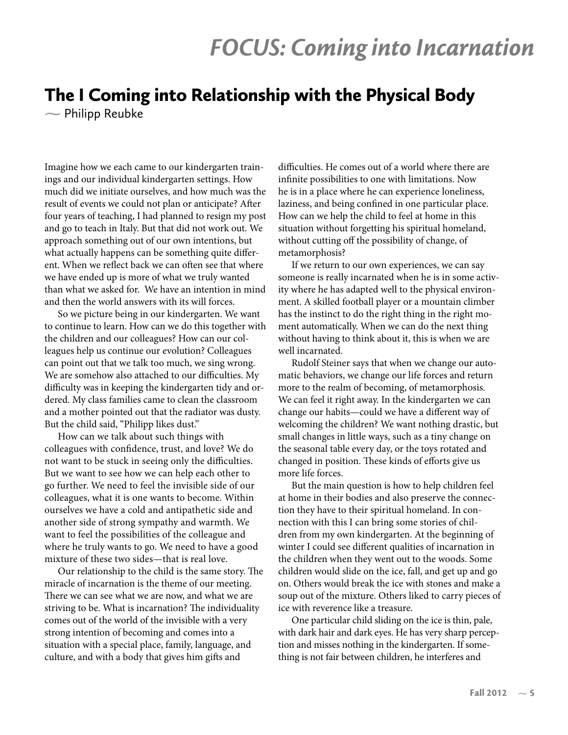# FOCUS: Coming into Incarnation

# The I Coming into Relationship with the Physical Body

 $\sim$  Philipp Reubke

Imagine how we each came to our kindergarten trainings and our individual kindergarten settings. How much did we initiate ourselves, and how much was the result of events we could not plan or anticipate? After four years of teaching, I had planned to resign my post and go to teach in Italy. But that did not work out. We approach something out of our own intentions, but what actually happens can be something quite different. When we reflect back we can often see that where we have ended up is more of what we truly wanted than what we asked for. We have an intention in mind and then the world answers with its will forces.

So we picture being in our kindergarten. We want to continue to learn. How can we do this together with the children and our colleagues? How can our colleagues help us continue our evolution? Colleagues can point out that we talk too much, we sing wrong. We are somehow also attached to our difficulties. My difficulty was in keeping the kindergarten tidy and ordered. My class families came to clean the classroom and a mother pointed out that the radiator was dusty. But the child said, "Philipp likes dust."

How can we talk about such things with colleagues with confidence, trust, and love? We do not want to be stuck in seeing only the difficulties. But we want to see how we can help each other to go further. We need to feel the invisible side of our colleagues, what it is one wants to become. Within ourselves we have a cold and antipathetic side and another side of strong sympathy and warmth. We want to feel the possibilities of the colleague and where he truly wants to go. We need to have a good mixture of these two sides—that is real love.

Our relationship to the child is the same story. The miracle of incarnation is the theme of our meeting. There we can see what we are now, and what we are striving to be. What is incarnation? The individuality comes out of the world of the invisible with a very strong intention of becoming and comes into a situation with a special place, family, language, and culture, and with a body that gives him gifts and

difficulties. He comes out of a world where there are infinite possibilities to one with limitations. Now he is in a place where he can experience loneliness, laziness, and being confined in one particular place. How can we help the child to feel at home in this situation without forgetting his spiritual homeland, without cutting off the possibility of change, of metamorphosis?

If we return to our own experiences, we can say someone is really incarnated when he is in some activity where he has adapted well to the physical environment. A skilled football player or a mountain climber has the instinct to do the right thing in the right moment automatically. When we can do the next thing without having to think about it, this is when we are well incarnated.

Rudolf Steiner says that when we change our automatic behaviors, we change our life forces and return more to the realm of becoming, of metamorphosis. We can feel it right away. In the kindergarten we can change our habits—could we have a different way of welcoming the children? We want nothing drastic, but small changes in little ways, such as a tiny change on the seasonal table every day, or the toys rotated and changed in position. These kinds of efforts give us more life forces.

But the main question is how to help children feel at home in their bodies and also preserve the connection they have to their spiritual homeland. In connection with this I can bring some stories of children from my own kindergarten. At the beginning of winter I could see different qualities of incarnation in the children when they went out to the woods. Some children would slide on the ice, fall, and get up and go on. Others would break the ice with stones and make a soup out of the mixture. Others liked to carry pieces of ice with reverence like a treasure.

One particular child sliding on the ice is thin, pale, with dark hair and dark eyes. He has very sharp perception and misses nothing in the kindergarten. If something is not fair between children, he interferes and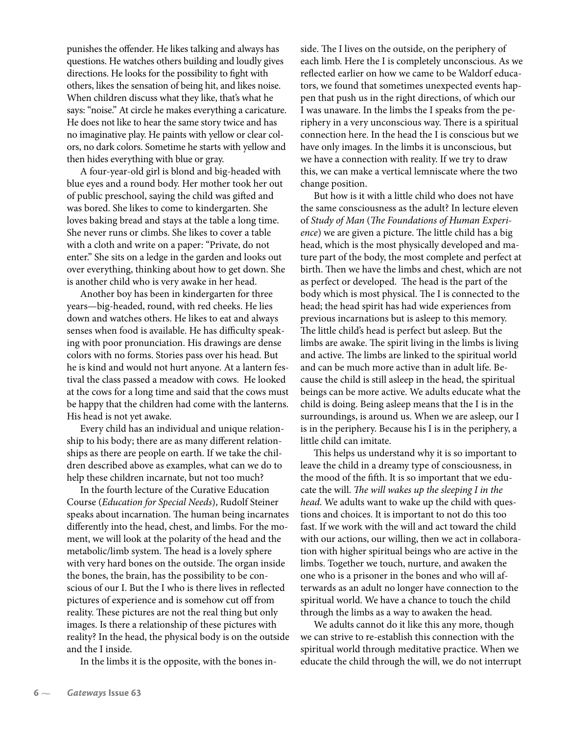punishes the offender. He likes talking and always has questions. He watches others building and loudly gives directions. He looks for the possibility to fight with others, likes the sensation of being hit, and likes noise. When children discuss what they like, that's what he says: "noise." At circle he makes everything a caricature. He does not like to hear the same story twice and has no imaginative play. He paints with yellow or clear colors, no dark colors. Sometime he starts with yellow and then hides everything with blue or gray.

A four-year-old girl is blond and big-headed with blue eyes and a round body. Her mother took her out of public preschool, saying the child was gifted and was bored. She likes to come to kindergarten. She loves baking bread and stays at the table a long time. She never runs or climbs. She likes to cover a table with a cloth and write on a paper: "Private, do not enter." She sits on a ledge in the garden and looks out over everything, thinking about how to get down. She is another child who is very awake in her head.

Another boy has been in kindergarten for three years—big-headed, round, with red cheeks. He lies down and watches others. He likes to eat and always senses when food is available. He has difficulty speaking with poor pronunciation. His drawings are dense colors with no forms. Stories pass over his head. But he is kind and would not hurt anyone. At a lantern festival the class passed a meadow with cows. He looked at the cows for a long time and said that the cows must be happy that the children had come with the lanterns. His head is not yet awake.

Every child has an individual and unique relationship to his body; there are as many different relationships as there are people on earth. If we take the children described above as examples, what can we do to help these children incarnate, but not too much?

In the fourth lecture of the Curative Education Course (*Education for Special Needs*), Rudolf Steiner speaks about incarnation. The human being incarnates differently into the head, chest, and limbs. For the moment, we will look at the polarity of the head and the metabolic/limb system. The head is a lovely sphere with very hard bones on the outside. The organ inside the bones, the brain, has the possibility to be conscious of our I. But the I who is there lives in reflected pictures of experience and is somehow cut off from reality. These pictures are not the real thing but only images. Is there a relationship of these pictures with reality? In the head, the physical body is on the outside and the I inside.

In the limbs it is the opposite, with the bones in-

side. The I lives on the outside, on the periphery of each limb. Here the I is completely unconscious. As we reflected earlier on how we came to be Waldorf educators, we found that sometimes unexpected events happen that push us in the right directions, of which our I was unaware. In the limbs the I speaks from the periphery in a very unconscious way. There is a spiritual connection here. In the head the I is conscious but we have only images. In the limbs it is unconscious, but we have a connection with reality. If we try to draw this, we can make a vertical lemniscate where the two change position.

But how is it with a little child who does not have the same consciousness as the adult? In lecture eleven of *Study of Man* (*The Foundations of Human Experience*) we are given a picture. The little child has a big head, which is the most physically developed and mature part of the body, the most complete and perfect at birth. Then we have the limbs and chest, which are not as perfect or developed. The head is the part of the body which is most physical. The I is connected to the head; the head spirit has had wide experiences from previous incarnations but is asleep to this memory. The little child's head is perfect but asleep. But the limbs are awake. The spirit living in the limbs is living and active. The limbs are linked to the spiritual world and can be much more active than in adult life. Because the child is still asleep in the head, the spiritual beings can be more active. We adults educate what the child is doing. Being asleep means that the I is in the surroundings, is around us. When we are asleep, our I is in the periphery. Because his I is in the periphery, a little child can imitate.

This helps us understand why it is so important to leave the child in a dreamy type of consciousness, in the mood of the �fth. It is so important that we educate the will. *The will wakes up the sleeping I in the head*. We adults want to wake up the child with questions and choices. It is important to not do this too fast. If we work with the will and act toward the child with our actions, our willing, then we act in collaboration with higher spiritual beings who are active in the limbs. Together we touch, nurture, and awaken the one who is a prisoner in the bones and who will afterwards as an adult no longer have connection to the spiritual world. We have a chance to touch the child through the limbs as a way to awaken the head.

We adults cannot do it like this any more, though we can strive to re-establish this connection with the spiritual world through meditative practice. When we educate the child through the will, we do not interrupt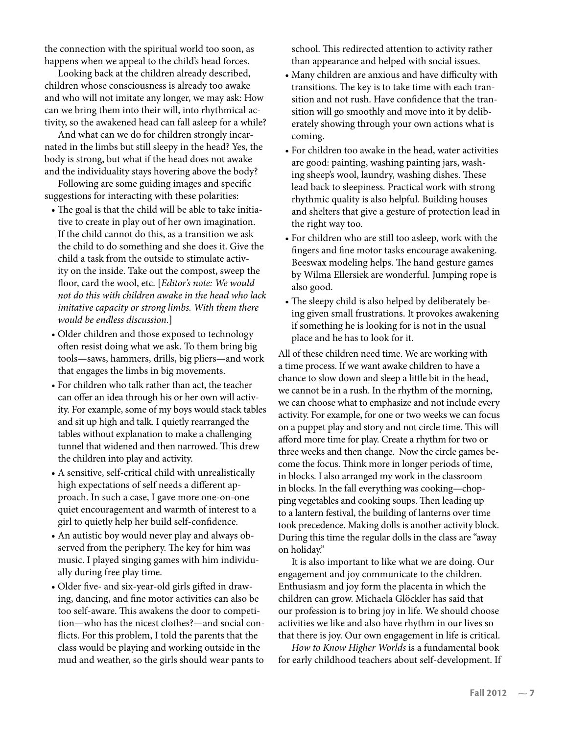the connection with the spiritual world too soon, as happens when we appeal to the child's head forces.

Looking back at the children already described, children whose consciousness is already too awake and who will not imitate any longer, we may ask: How can we bring them into their will, into rhythmical activity, so the awakened head can fall asleep for a while?

And what can we do for children strongly incarnated in the limbs but still sleepy in the head? Yes, the body is strong, but what if the head does not awake and the individuality stays hovering above the body?

Following are some guiding images and specific suggestions for interacting with these polarities:

- The goal is that the child will be able to take initiative to create in play out of her own imagination. If the child cannot do this, as a transition we ask the child to do something and she does it. Give the child a task from the outside to stimulate activity on the inside. Take out the compost, sweep the floor, card the wool, etc. [*Editor's note: We would not do this with children awake in the head who lack imitative capacity or strong limbs. With them there would be endless discussion.*]
- Older children and those exposed to technology often resist doing what we ask. To them bring big tools—saws, hammers, drills, big pliers—and work that engages the limbs in big movements.
- For children who talk rather than act, the teacher can offer an idea through his or her own will activity. For example, some of my boys would stack tables and sit up high and talk. I quietly rearranged the tables without explanation to make a challenging tunnel that widened and then narrowed. This drew the children into play and activity.
- A sensitive, self-critical child with unrealistically high expectations of self needs a different approach. In such a case, I gave more one-on-one quiet encouragement and warmth of interest to a girl to quietly help her build self-confidence.
- An autistic boy would never play and always observed from the periphery. The key for him was music. I played singing games with him individually during free play time.
- Older five- and six-year-old girls gifted in drawing, dancing, and fine motor activities can also be too self-aware. This awakens the door to competition—who has the nicest clothes?—and social con flicts. For this problem, I told the parents that the class would be playing and working outside in the mud and weather, so the girls should wear pants to

school. This redirected attention to activity rather than appearance and helped with social issues.

- Many children are anxious and have difficulty with transitions. The key is to take time with each transition and not rush. Have confidence that the transition will go smoothly and move into it by deliberately showing through your own actions what is coming.
- For children too awake in the head, water activities are good: painting, washing painting jars, washing sheep's wool, laundry, washing dishes. These lead back to sleepiness. Practical work with strong rhythmic quality is also helpful. Building houses and shelters that give a gesture of protection lead in the right way too.
- For children who are still too asleep, work with the fingers and fine motor tasks encourage awakening. Beeswax modeling helps. The hand gesture games by Wilma Ellersiek are wonderful. Jumping rope is also good.
- The sleepy child is also helped by deliberately being given small frustrations. It provokes awakening if something he is looking for is not in the usual place and he has to look for it.

All of these children need time. We are working with a time process. If we want awake children to have a chance to slow down and sleep a little bit in the head, we cannot be in a rush. In the rhythm of the morning, we can choose what to emphasize and not include every activity. For example, for one or two weeks we can focus on a puppet play and story and not circle time. This will afford more time for play. Create a rhythm for two or three weeks and then change. Now the circle games become the focus. Think more in longer periods of time, in blocks. I also arranged my work in the classroom in blocks. In the fall everything was cooking—chopping vegetables and cooking soups. Then leading up to a lantern festival, the building of lanterns over time took precedence. Making dolls is another activity block. During this time the regular dolls in the class are "away on holiday."

It is also important to like what we are doing. Our engagement and joy communicate to the children. Enthusiasm and joy form the placenta in which the children can grow. Michaela Glöckler has said that our profession is to bring joy in life. We should choose activities we like and also have rhythm in our lives so that there is joy. Our own engagement in life is critical.

*How to Know Higher Worlds* is a fundamental book for early childhood teachers about self-development. If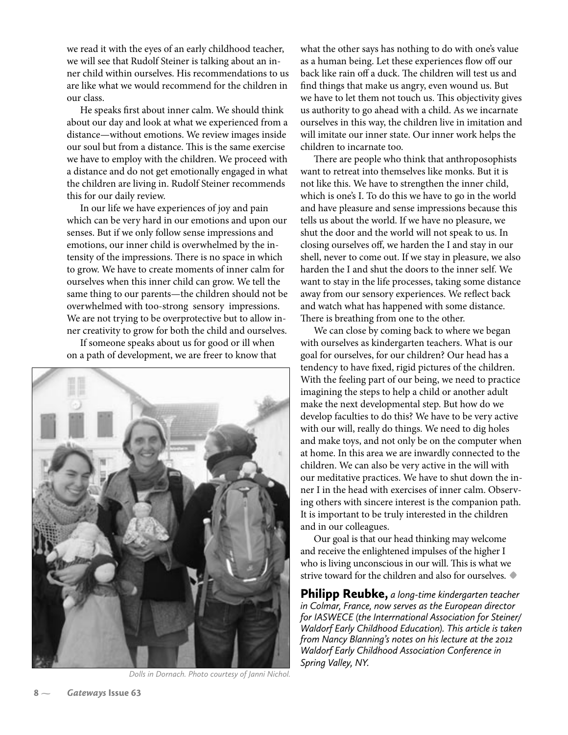we read it with the eyes of an early childhood teacher, we will see that Rudolf Steiner is talking about an inner child within ourselves. His recommendations to us are like what we would recommend for the children in our class.

He speaks first about inner calm. We should think about our day and look at what we experienced from a distance—without emotions. We review images inside our soul but from a distance. This is the same exercise we have to employ with the children. We proceed with a distance and do not get emotionally engaged in what the children are living in. Rudolf Steiner recommends this for our daily review.

In our life we have experiences of joy and pain which can be very hard in our emotions and upon our senses. But if we only follow sense impressions and emotions, our inner child is overwhelmed by the intensity of the impressions. There is no space in which to grow. We have to create moments of inner calm for ourselves when this inner child can grow. We tell the same thing to our parents—the children should not be overwhelmed with too-strong sensory impressions. We are not trying to be overprotective but to allow inner creativity to grow for both the child and ourselves.

If someone speaks about us for good or ill when on a path of development, we are freer to know that



*Dolls in Dornach. Photo courtesy of Janni Nichol.*

what the other says has nothing to do with one's value as a human being. Let these experiences flow off our back like rain off a duck. The children will test us and find things that make us angry, even wound us. But we have to let them not touch us. This objectivity gives us authority to go ahead with a child. As we incarnate ourselves in this way, the children live in imitation and will imitate our inner state. Our inner work helps the children to incarnate too.

There are people who think that anthroposophists want to retreat into themselves like monks. But it is not like this. We have to strengthen the inner child, which is one's I. To do this we have to go in the world and have pleasure and sense impressions because this tells us about the world. If we have no pleasure, we shut the door and the world will not speak to us. In closing ourselves off, we harden the I and stay in our shell, never to come out. If we stay in pleasure, we also harden the I and shut the doors to the inner self. We want to stay in the life processes, taking some distance away from our sensory experiences. We reflect back and watch what has happened with some distance. There is breathing from one to the other.

We can close by coming back to where we began with ourselves as kindergarten teachers. What is our goal for ourselves, for our children? Our head has a tendency to have fixed, rigid pictures of the children. With the feeling part of our being, we need to practice imagining the steps to help a child or another adult make the next developmental step. But how do we develop faculties to do this? We have to be very active with our will, really do things. We need to dig holes and make toys, and not only be on the computer when at home. In this area we are inwardly connected to the children. We can also be very active in the will with our meditative practices. We have to shut down the inner I in the head with exercises of inner calm. Observing others with sincere interest is the companion path. It is important to be truly interested in the children and in our colleagues.

Our goal is that our head thinking may welcome and receive the enlightened impulses of the higher I who is living unconscious in our will. This is what we strive toward for the children and also for ourselves. **•**

Philipp Reubke, *a long-time kindergarten teacher in Colmar, France, now serves as the European director for IASWECE (the Interrnational Association for Steiner/ Waldorf Early Childhood Education). This article is taken from Nancy Blanning's notes on his lecture at the 2012 Waldorf Early Childhood Association Conference in Spring Valley, NY.*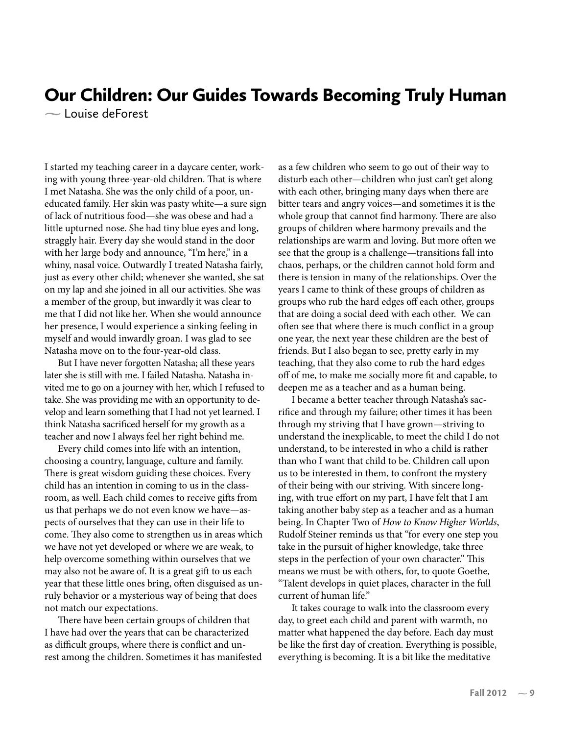## Our Children: Our Guides Towards Becoming Truly Human

Louise deForest

I started my teaching career in a daycare center, working with young three-year-old children. That is where I met Natasha. She was the only child of a poor, uneducated family. Her skin was pasty white—a sure sign of lack of nutritious food—she was obese and had a little upturned nose. She had tiny blue eyes and long, straggly hair. Every day she would stand in the door with her large body and announce, "I'm here," in a whiny, nasal voice. Outwardly I treated Natasha fairly, just as every other child; whenever she wanted, she sat on my lap and she joined in all our activities. She was a member of the group, but inwardly it was clear to me that I did not like her. When she would announce her presence, I would experience a sinking feeling in myself and would inwardly groan. I was glad to see Natasha move on to the four-year-old class.

But I have never forgotten Natasha; all these years later she is still with me. I failed Natasha. Natasha invited me to go on a journey with her, which I refused to take. She was providing me with an opportunity to develop and learn something that I had not yet learned. I think Natasha sacrificed herself for my growth as a teacher and now I always feel her right behind me.

Every child comes into life with an intention, choosing a country, language, culture and family. There is great wisdom guiding these choices. Every child has an intention in coming to us in the classroom, as well. Each child comes to receive gifts from us that perhaps we do not even know we have—aspects of ourselves that they can use in their life to come. They also come to strengthen us in areas which we have not yet developed or where we are weak, to help overcome something within ourselves that we may also not be aware of. It is a great gift to us each year that these little ones bring, often disguised as unruly behavior or a mysterious way of being that does not match our expectations.

There have been certain groups of children that I have had over the years that can be characterized as difficult groups, where there is conflict and unrest among the children. Sometimes it has manifested

as a few children who seem to go out of their way to disturb each other—children who just can't get along with each other, bringing many days when there are bitter tears and angry voices—and sometimes it is the whole group that cannot find harmony. There are also groups of children where harmony prevails and the relationships are warm and loving. But more often we see that the group is a challenge—transitions fall into chaos, perhaps, or the children cannot hold form and there is tension in many of the relationships. Over the years I came to think of these groups of children as groups who rub the hard edges off each other, groups that are doing a social deed with each other. We can often see that where there is much con�ict in a group one year, the next year these children are the best of friends. But I also began to see, pretty early in my teaching, that they also come to rub the hard edges off of me, to make me socially more �t and capable, to deepen me as a teacher and as a human being.

I became a better teacher through Natasha's sacrifice and through my failure; other times it has been through my striving that I have grown—striving to understand the inexplicable, to meet the child I do not understand, to be interested in who a child is rather than who I want that child to be. Children call upon us to be interested in them, to confront the mystery of their being with our striving. With sincere longing, with true effort on my part, I have felt that I am taking another baby step as a teacher and as a human being. In Chapter Two of *How to Know Higher Worlds*, Rudolf Steiner reminds us that "for every one step you take in the pursuit of higher knowledge, take three steps in the perfection of your own character." This means we must be with others, for, to quote Goethe, "Talent develops in quiet places, character in the full current of human life."

It takes courage to walk into the classroom every day, to greet each child and parent with warmth, no matter what happened the day before. Each day must be like the first day of creation. Everything is possible, everything is becoming. It is a bit like the meditative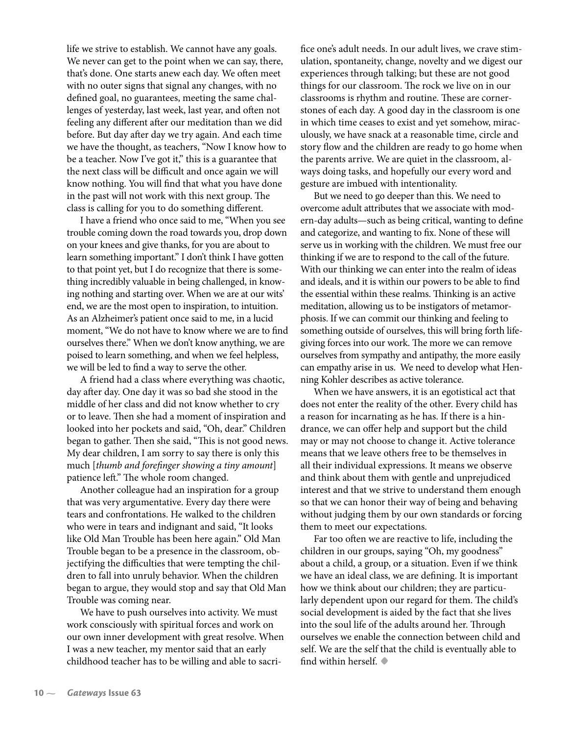life we strive to establish. We cannot have any goals. We never can get to the point when we can say, there, that's done. One starts anew each day. We often meet with no outer signs that signal any changes, with no defined goal, no guarantees, meeting the same challenges of yesterday, last week, last year, and often not feeling any different after our meditation than we did before. But day after day we try again. And each time we have the thought, as teachers, "Now I know how to be a teacher. Now I've got it," this is a guarantee that the next class will be difficult and once again we will know nothing. You will find that what you have done in the past will not work with this next group. The class is calling for you to do something different.

I have a friend who once said to me, "When you see trouble coming down the road towards you, drop down on your knees and give thanks, for you are about to learn something important." I don't think I have gotten to that point yet, but I do recognize that there is something incredibly valuable in being challenged, in knowing nothing and starting over. When we are at our wits' end, we are the most open to inspiration, to intuition. As an Alzheimer's patient once said to me, in a lucid moment, "We do not have to know where we are to find ourselves there." When we don't know anything, we are poised to learn something, and when we feel helpless, we will be led to find a way to serve the other.

A friend had a class where everything was chaotic, day after day. One day it was so bad she stood in the middle of her class and did not know whether to cry or to leave. Then she had a moment of inspiration and looked into her pockets and said, "Oh, dear." Children began to gather. Then she said, "This is not good news. My dear children, I am sorry to say there is only this much [*thumb and fore�nger showing a tiny amount*] patience left." The whole room changed.

Another colleague had an inspiration for a group that was very argumentative. Every day there were tears and confrontations. He walked to the children who were in tears and indignant and said, "It looks like Old Man Trouble has been here again." Old Man Trouble began to be a presence in the classroom, objectifying the difficulties that were tempting the children to fall into unruly behavior. When the children began to argue, they would stop and say that Old Man Trouble was coming near.

We have to push ourselves into activity. We must work consciously with spiritual forces and work on our own inner development with great resolve. When I was a new teacher, my mentor said that an early childhood teacher has to be willing and able to sacri�ce one's adult needs. In our adult lives, we crave stimulation, spontaneity, change, novelty and we digest our experiences through talking; but these are not good things for our classroom. The rock we live on in our classrooms is rhythm and routine. These are cornerstones of each day. A good day in the classroom is one in which time ceases to exist and yet somehow, miraculously, we have snack at a reasonable time, circle and story flow and the children are ready to go home when the parents arrive. We are quiet in the classroom, always doing tasks, and hopefully our every word and gesture are imbued with intentionality.

But we need to go deeper than this. We need to overcome adult attributes that we associate with modern-day adults—such as being critical, wanting to define and categorize, and wanting to fix. None of these will serve us in working with the children. We must free our thinking if we are to respond to the call of the future. With our thinking we can enter into the realm of ideas and ideals, and it is within our powers to be able to find the essential within these realms. Thinking is an active meditation, allowing us to be instigators of metamorphosis. If we can commit our thinking and feeling to something outside of ourselves, this will bring forth lifegiving forces into our work. The more we can remove ourselves from sympathy and antipathy, the more easily can empathy arise in us. We need to develop what Henning Kohler describes as active tolerance.

When we have answers, it is an egotistical act that does not enter the reality of the other. Every child has a reason for incarnating as he has. If there is a hindrance, we can offer help and support but the child may or may not choose to change it. Active tolerance means that we leave others free to be themselves in all their individual expressions. It means we observe and think about them with gentle and unprejudiced interest and that we strive to understand them enough so that we can honor their way of being and behaving without judging them by our own standards or forcing them to meet our expectations.

Far too often we are reactive to life, including the children in our groups, saying "Oh, my goodness" about a child, a group, or a situation. Even if we think we have an ideal class, we are defining. It is important how we think about our children; they are particularly dependent upon our regard for them. The child's social development is aided by the fact that she lives into the soul life of the adults around her. Through ourselves we enable the connection between child and self. We are the self that the child is eventually able to �nd within herself. **•**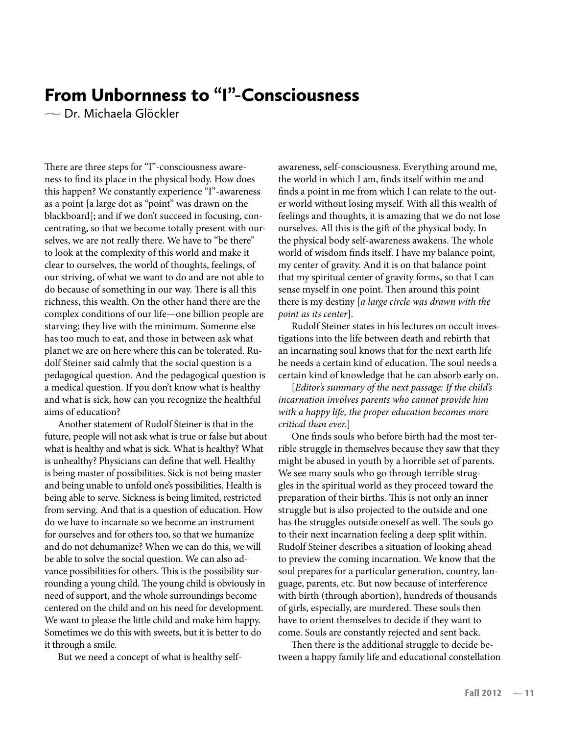# From Unbornness to "I"-Consciousness

Dr. Michaela Glöckler

There are three steps for "I"-consciousness awareness to find its place in the physical body. How does this happen? We constantly experience "I"-awareness as a point [a large dot as "point" was drawn on the blackboard]; and if we don't succeed in focusing, concentrating, so that we become totally present with ourselves, we are not really there. We have to "be there" to look at the complexity of this world and make it clear to ourselves, the world of thoughts, feelings, of our striving, of what we want to do and are not able to do because of something in our way. There is all this richness, this wealth. On the other hand there are the complex conditions of our life—one billion people are starving; they live with the minimum. Someone else has too much to eat, and those in between ask what planet we are on here where this can be tolerated. Rudolf Steiner said calmly that the social question is a pedagogical question. And the pedagogical question is a medical question. If you don't know what is healthy and what is sick, how can you recognize the healthful aims of education?

Another statement of Rudolf Steiner is that in the future, people will not ask what is true or false but about what is healthy and what is sick. What is healthy? What is unhealthy? Physicians can define that well. Healthy is being master of possibilities. Sick is not being master and being unable to unfold one's possibilities. Health is being able to serve. Sickness is being limited, restricted from serving. And that is a question of education. How do we have to incarnate so we become an instrument for ourselves and for others too, so that we humanize and do not dehumanize? When we can do this, we will be able to solve the social question. We can also advance possibilities for others. This is the possibility surrounding a young child. The young child is obviously in need of support, and the whole surroundings become centered on the child and on his need for development. We want to please the little child and make him happy. Sometimes we do this with sweets, but it is better to do it through a smile.

But we need a concept of what is healthy self-

awareness, self-consciousness. Everything around me, the world in which I am, finds itself within me and finds a point in me from which I can relate to the outer world without losing myself. With all this wealth of feelings and thoughts, it is amazing that we do not lose ourselves. All this is the gift of the physical body. In the physical body self-awareness awakens. The whole world of wisdom finds itself. I have my balance point, my center of gravity. And it is on that balance point that my spiritual center of gravity forms, so that I can sense myself in one point. Then around this point there is my destiny [*a large circle was drawn with the point as its center*].

Rudolf Steiner states in his lectures on occult investigations into the life between death and rebirth that an incarnating soul knows that for the next earth life he needs a certain kind of education. The soul needs a certain kind of knowledge that he can absorb early on.

[*Editor's summary of the next passage: If the child's incarnation involves parents who cannot provide him with a happy life, the proper education becomes more critical than ever.*]

One finds souls who before birth had the most terrible struggle in themselves because they saw that they might be abused in youth by a horrible set of parents. We see many souls who go through terrible struggles in the spiritual world as they proceed toward the preparation of their births. This is not only an inner struggle but is also projected to the outside and one has the struggles outside oneself as well. The souls go to their next incarnation feeling a deep split within. Rudolf Steiner describes a situation of looking ahead to preview the coming incarnation. We know that the soul prepares for a particular generation, country, language, parents, etc. But now because of interference with birth (through abortion), hundreds of thousands of girls, especially, are murdered. These souls then have to orient themselves to decide if they want to come. Souls are constantly rejected and sent back.

Then there is the additional struggle to decide between a happy family life and educational constellation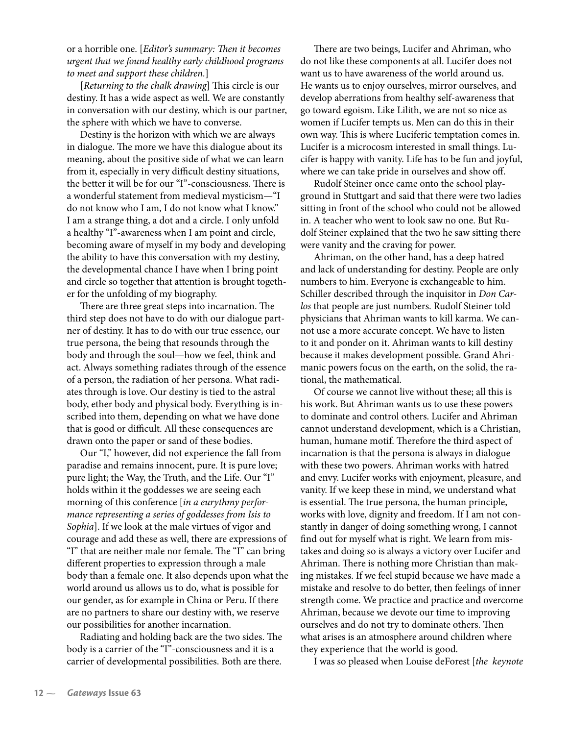or a horrible one. [*Editor's summary: Then it becomes urgent that we found healthy early childhood programs to meet and support these children.*]

[*Returning to the chalk drawing*] This circle is our destiny. It has a wide aspect as well. We are constantly in conversation with our destiny, which is our partner, the sphere with which we have to converse.

Destiny is the horizon with which we are always in dialogue. The more we have this dialogue about its meaning, about the positive side of what we can learn from it, especially in very difficult destiny situations, the better it will be for our "I"-consciousness. There is a wonderful statement from medieval mysticism—"I do not know who I am, I do not know what I know." I am a strange thing, a dot and a circle. I only unfold a healthy "I"-awareness when I am point and circle, becoming aware of myself in my body and developing the ability to have this conversation with my destiny, the developmental chance I have when I bring point and circle so together that attention is brought together for the unfolding of my biography.

There are three great steps into incarnation. The third step does not have to do with our dialogue partner of destiny. It has to do with our true essence, our true persona, the being that resounds through the body and through the soul—how we feel, think and act. Always something radiates through of the essence of a person, the radiation of her persona. What radiates through is love. Our destiny is tied to the astral body, ether body and physical body. Everything is inscribed into them, depending on what we have done that is good or difficult. All these consequences are drawn onto the paper or sand of these bodies.

Our "I," however, did not experience the fall from paradise and remains innocent, pure. It is pure love; pure light; the Way, the Truth, and the Life. Our "I" holds within it the goddesses we are seeing each morning of this conference [*in a eurythmy performance representing a series of goddesses from Isis to Sophia*]. If we look at the male virtues of vigor and courage and add these as well, there are expressions of "I" that are neither male nor female. The "I" can bring different properties to expression through a male body than a female one. It also depends upon what the world around us allows us to do, what is possible for our gender, as for example in China or Peru. If there are no partners to share our destiny with, we reserve our possibilities for another incarnation.

Radiating and holding back are the two sides. The body is a carrier of the "I"-consciousness and it is a carrier of developmental possibilities. Both are there.

There are two beings, Lucifer and Ahriman, who do not like these components at all. Lucifer does not want us to have awareness of the world around us. He wants us to enjoy ourselves, mirror ourselves, and develop aberrations from healthy self-awareness that go toward egoism. Like Lilith, we are not so nice as women if Lucifer tempts us. Men can do this in their own way. This is where Luciferic temptation comes in. Lucifer is a microcosm interested in small things. Lucifer is happy with vanity. Life has to be fun and joyful, where we can take pride in ourselves and show off.

Rudolf Steiner once came onto the school playground in Stuttgart and said that there were two ladies sitting in front of the school who could not be allowed in. A teacher who went to look saw no one. But Rudolf Steiner explained that the two he saw sitting there were vanity and the craving for power.

Ahriman, on the other hand, has a deep hatred and lack of understanding for destiny. People are only numbers to him. Everyone is exchangeable to him. Schiller described through the inquisitor in *Don Carlos* that people are just numbers. Rudolf Steiner told physicians that Ahriman wants to kill karma. We cannot use a more accurate concept. We have to listen to it and ponder on it. Ahriman wants to kill destiny because it makes development possible. Grand Ahrimanic powers focus on the earth, on the solid, the rational, the mathematical.

Of course we cannot live without these; all this is his work. But Ahriman wants us to use these powers to dominate and control others. Lucifer and Ahriman cannot understand development, which is a Christian, human, humane motif. Therefore the third aspect of incarnation is that the persona is always in dialogue with these two powers. Ahriman works with hatred and envy. Lucifer works with enjoyment, pleasure, and vanity. If we keep these in mind, we understand what is essential. The true persona, the human principle, works with love, dignity and freedom. If I am not constantly in danger of doing something wrong, I cannot find out for myself what is right. We learn from mistakes and doing so is always a victory over Lucifer and Ahriman. There is nothing more Christian than making mistakes. If we feel stupid because we have made a mistake and resolve to do better, then feelings of inner strength come. We practice and practice and overcome Ahriman, because we devote our time to improving ourselves and do not try to dominate others. Then what arises is an atmosphere around children where they experience that the world is good.

I was so pleased when Louise deForest [*the keynote*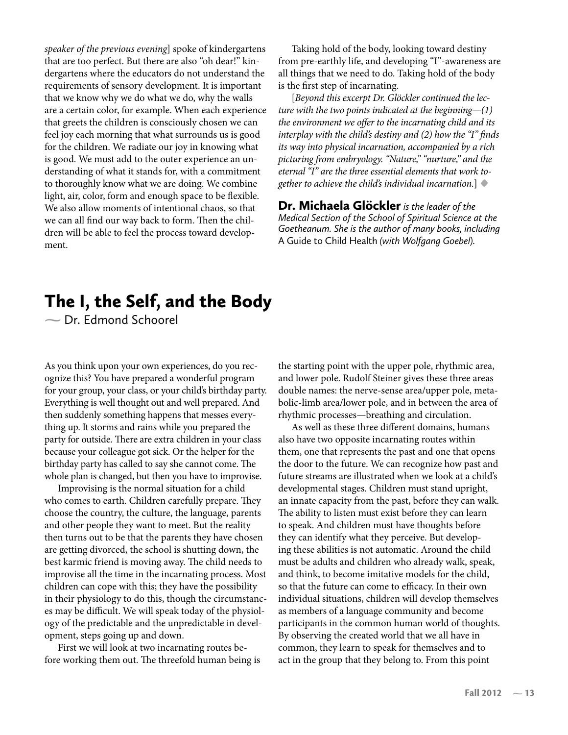*speaker of the previous evening*] spoke of kindergartens that are too perfect. But there are also "oh dear!" kindergartens where the educators do not understand the requirements of sensory development. It is important that we know why we do what we do, why the walls are a certain color, for example. When each experience that greets the children is consciously chosen we can feel joy each morning that what surrounds us is good for the children. We radiate our joy in knowing what is good. We must add to the outer experience an understanding of what it stands for, with a commitment to thoroughly know what we are doing. We combine light, air, color, form and enough space to be flexible. We also allow moments of intentional chaos, so that we can all find our way back to form. Then the children will be able to feel the process toward development.

Taking hold of the body, looking toward destiny from pre-earthly life, and developing "I"-awareness are all things that we need to do. Taking hold of the body is the first step of incarnating.

[*Beyond this excerpt Dr. Glöckler continued the lecture with the two points indicated at the beginning—(1) the environment we offer to the incarnating child and its interplay with the child's destiny and (2) how the "I" finds its way into physical incarnation, accompanied by a rich picturing from embryology. "Nature," "nurture," and the eternal "I" are the three essential elements that work together to achieve the child's individual incarnation.*] **•**

Dr. Michaela Glöckler*is the leader of the Medical Section of the School of Spiritual Science at the Goetheanum. She is the author of many books, including*  A Guide to Child Health *(with Wolfgang Goebel).*

# The I, the Self, and the Body

Dr. Edmond Schoorel

As you think upon your own experiences, do you recognize this? You have prepared a wonderful program for your group, your class, or your child's birthday party. Everything is well thought out and well prepared. And then suddenly something happens that messes everything up. It storms and rains while you prepared the party for outside. There are extra children in your class because your colleague got sick. Or the helper for the birthday party has called to say she cannot come. The whole plan is changed, but then you have to improvise.

Improvising is the normal situation for a child who comes to earth. Children carefully prepare. They choose the country, the culture, the language, parents and other people they want to meet. But the reality then turns out to be that the parents they have chosen are getting divorced, the school is shutting down, the best karmic friend is moving away. The child needs to improvise all the time in the incarnating process. Most children can cope with this; they have the possibility in their physiology to do this, though the circumstances may be difficult. We will speak today of the physiology of the predictable and the unpredictable in development, steps going up and down.

First we will look at two incarnating routes before working them out. The threefold human being is the starting point with the upper pole, rhythmic area, and lower pole. Rudolf Steiner gives these three areas double names: the nerve-sense area/upper pole, metabolic-limb area/lower pole, and in between the area of rhythmic processes—breathing and circulation.

As well as these three different domains, humans also have two opposite incarnating routes within them, one that represents the past and one that opens the door to the future. We can recognize how past and future streams are illustrated when we look at a child's developmental stages. Children must stand upright, an innate capacity from the past, before they can walk. The ability to listen must exist before they can learn to speak. And children must have thoughts before they can identify what they perceive. But developing these abilities is not automatic. Around the child must be adults and children who already walk, speak, and think, to become imitative models for the child, so that the future can come to efficacy. In their own individual situations, children will develop themselves as members of a language community and become participants in the common human world of thoughts. By observing the created world that we all have in common, they learn to speak for themselves and to act in the group that they belong to. From this point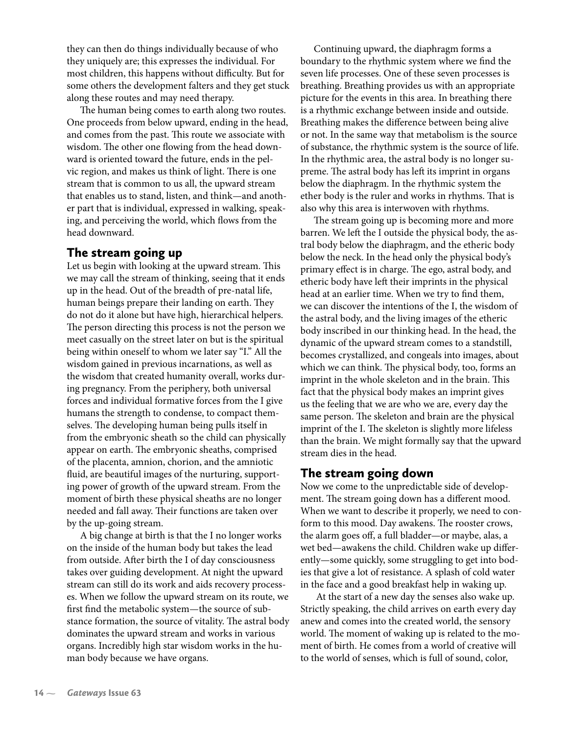they can then do things individually because of who they uniquely are; this expresses the individual. For most children, this happens without difficulty. But for some others the development falters and they get stuck along these routes and may need therapy.

The human being comes to earth along two routes. One proceeds from below upward, ending in the head, and comes from the past. This route we associate with wisdom. The other one flowing from the head downward is oriented toward the future, ends in the pelvic region, and makes us think of light. There is one stream that is common to us all, the upward stream that enables us to stand, listen, and think—and another part that is individual, expressed in walking, speaking, and perceiving the world, which flows from the head downward.

## The stream going up

Let us begin with looking at the upward stream. This we may call the stream of thinking, seeing that it ends up in the head. Out of the breadth of pre-natal life, human beings prepare their landing on earth. They do not do it alone but have high, hierarchical helpers. The person directing this process is not the person we meet casually on the street later on but is the spiritual being within oneself to whom we later say "I." All the wisdom gained in previous incarnations, as well as the wisdom that created humanity overall, works during pregnancy. From the periphery, both universal forces and individual formative forces from the I give humans the strength to condense, to compact themselves. The developing human being pulls itself in from the embryonic sheath so the child can physically appear on earth. The embryonic sheaths, comprised of the placenta, amnion, chorion, and the amniotic fluid, are beautiful images of the nurturing, supporting power of growth of the upward stream. From the moment of birth these physical sheaths are no longer needed and fall away. Their functions are taken over by the up-going stream.

A big change at birth is that the I no longer works on the inside of the human body but takes the lead from outside. After birth the I of day consciousness takes over guiding development. At night the upward stream can still do its work and aids recovery processes. When we follow the upward stream on its route, we first find the metabolic system—the source of substance formation, the source of vitality. The astral body dominates the upward stream and works in various organs. Incredibly high star wisdom works in the human body because we have organs.

Continuing upward, the diaphragm forms a boundary to the rhythmic system where we find the seven life processes. One of these seven processes is breathing. Breathing provides us with an appropriate picture for the events in this area. In breathing there is a rhythmic exchange between inside and outside. Breathing makes the difference between being alive or not. In the same way that metabolism is the source of substance, the rhythmic system is the source of life. In the rhythmic area, the astral body is no longer supreme. The astral body has left its imprint in organs below the diaphragm. In the rhythmic system the ether body is the ruler and works in rhythms. That is also why this area is interwoven with rhythms.

The stream going up is becoming more and more barren. We left the I outside the physical body, the astral body below the diaphragm, and the etheric body below the neck. In the head only the physical body's primary effect is in charge. The ego, astral body, and etheric body have left their imprints in the physical head at an earlier time. When we try to find them, we can discover the intentions of the I, the wisdom of the astral body, and the living images of the etheric body inscribed in our thinking head. In the head, the dynamic of the upward stream comes to a standstill, becomes crystallized, and congeals into images, about which we can think. The physical body, too, forms an imprint in the whole skeleton and in the brain. This fact that the physical body makes an imprint gives us the feeling that we are who we are, every day the same person. The skeleton and brain are the physical imprint of the I. The skeleton is slightly more lifeless than the brain. We might formally say that the upward stream dies in the head.

## The stream going down

Now we come to the unpredictable side of development. The stream going down has a different mood. When we want to describe it properly, we need to conform to this mood. Day awakens. The rooster crows, the alarm goes off, a full bladder—or maybe, alas, a wet bed—awakens the child. Children wake up differently—some quickly, some struggling to get into bodies that give a lot of resistance. A splash of cold water in the face and a good breakfast help in waking up.

 At the start of a new day the senses also wake up. Strictly speaking, the child arrives on earth every day anew and comes into the created world, the sensory world. The moment of waking up is related to the moment of birth. He comes from a world of creative will to the world of senses, which is full of sound, color,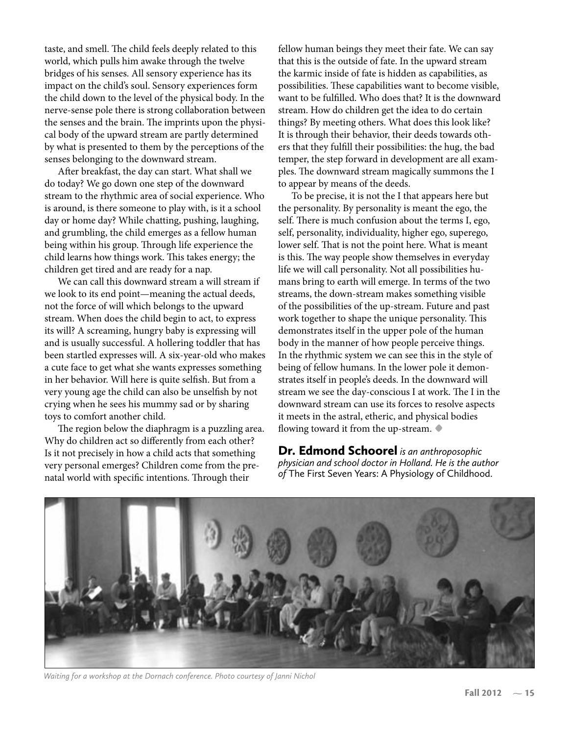taste, and smell. The child feels deeply related to this world, which pulls him awake through the twelve bridges of his senses. All sensory experience has its impact on the child's soul. Sensory experiences form the child down to the level of the physical body. In the nerve-sense pole there is strong collaboration between the senses and the brain. The imprints upon the physical body of the upward stream are partly determined by what is presented to them by the perceptions of the senses belonging to the downward stream.

After breakfast, the day can start. What shall we do today? We go down one step of the downward stream to the rhythmic area of social experience. Who is around, is there someone to play with, is it a school day or home day? While chatting, pushing, laughing, and grumbling, the child emerges as a fellow human being within his group. Through life experience the child learns how things work. This takes energy; the children get tired and are ready for a nap.

We can call this downward stream a will stream if we look to its end point—meaning the actual deeds, not the force of will which belongs to the upward stream. When does the child begin to act, to express its will? A screaming, hungry baby is expressing will and is usually successful. A hollering toddler that has been startled expresses will. A six-year-old who makes a cute face to get what she wants expresses something in her behavior. Will here is quite selfish. But from a very young age the child can also be unselfish by not crying when he sees his mummy sad or by sharing toys to comfort another child.

The region below the diaphragm is a puzzling area. Why do children act so differently from each other? Is it not precisely in how a child acts that something very personal emerges? Children come from the prenatal world with specific intentions. Through their

fellow human beings they meet their fate. We can say that this is the outside of fate. In the upward stream the karmic inside of fate is hidden as capabilities, as possibilities. These capabilities want to become visible, want to be fulfilled. Who does that? It is the downward stream. How do children get the idea to do certain things? By meeting others. What does this look like? It is through their behavior, their deeds towards others that they ful�ll their possibilities: the hug, the bad temper, the step forward in development are all examples. The downward stream magically summons the I to appear by means of the deeds.

To be precise, it is not the I that appears here but the personality. By personality is meant the ego, the self. There is much confusion about the terms I, ego, self, personality, individuality, higher ego, superego, lower self. That is not the point here. What is meant is this. The way people show themselves in everyday life we will call personality. Not all possibilities humans bring to earth will emerge. In terms of the two streams, the down-stream makes something visible of the possibilities of the up-stream. Future and past work together to shape the unique personality. This demonstrates itself in the upper pole of the human body in the manner of how people perceive things. In the rhythmic system we can see this in the style of being of fellow humans. In the lower pole it demonstrates itself in people's deeds. In the downward will stream we see the day-conscious I at work. The I in the downward stream can use its forces to resolve aspects it meets in the astral, etheric, and physical bodies flowing toward it from the up-stream.  $\bullet$ 

Dr. Edmond Schoorel *is an anthroposophic physician and school doctor in Holland. He is the author of* The First Seven Years: A Physiology of Childhood.



*Waiting for a workshop at the Dornach conference. Photo courtesy of Janni Nichol*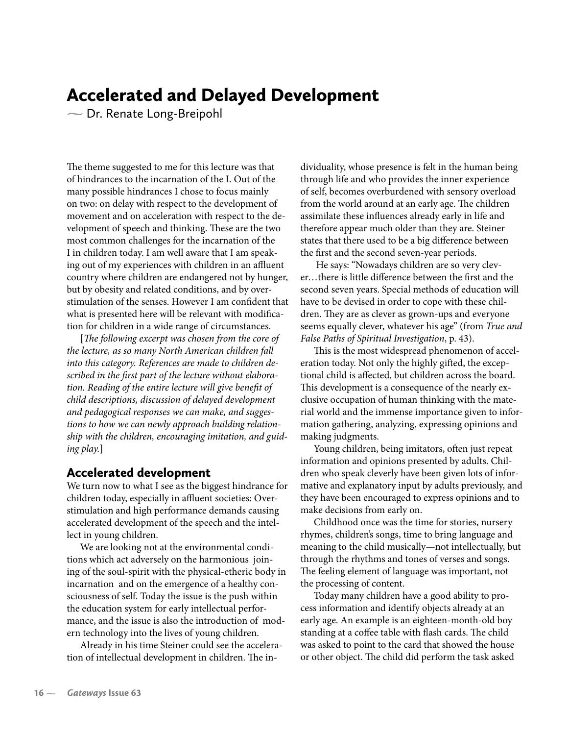## Accelerated and Delayed Development

Dr. Renate Long-Breipohl

The theme suggested to me for this lecture was that of hindrances to the incarnation of the I. Out of the many possible hindrances I chose to focus mainly on two: on delay with respect to the development of movement and on acceleration with respect to the development of speech and thinking. These are the two most common challenges for the incarnation of the I in children today. I am well aware that I am speaking out of my experiences with children in an affluent country where children are endangered not by hunger, but by obesity and related conditions, and by overstimulation of the senses. However I am confident that what is presented here will be relevant with modification for children in a wide range of circumstances.

[*The following excerpt was chosen from the core of the lecture, as so many North American children fall into this category. References are made to children de*scribed in the first part of the lecture without elabora*tion. Reading of the entire lecture will give bene�t of child descriptions, discussion of delayed development and pedagogical responses we can make, and suggestions to how we can newly approach building relationship with the children, encouraging imitation, and guiding play.*]

### Accelerated development

We turn now to what I see as the biggest hindrance for children today, especially in affluent societies: Overstimulation and high performance demands causing accelerated development of the speech and the intellect in young children.

We are looking not at the environmental conditions which act adversely on the harmonious joining of the soul-spirit with the physical-etheric body in incarnation and on the emergence of a healthy consciousness of self. Today the issue is the push within the education system for early intellectual performance, and the issue is also the introduction of modern technology into the lives of young children.

Already in his time Steiner could see the acceleration of intellectual development in children. The individuality, whose presence is felt in the human being through life and who provides the inner experience of self, becomes overburdened with sensory overload from the world around at an early age. The children assimilate these influences already early in life and therefore appear much older than they are. Steiner states that there used to be a big difference between the first and the second seven-year periods.

 He says: "Nowadays children are so very clever...there is little difference between the first and the second seven years. Special methods of education will have to be devised in order to cope with these children. They are as clever as grown-ups and everyone seems equally clever, whatever his age" (from *True and False Paths of Spiritual Investigation*, p. 43).

This is the most widespread phenomenon of acceleration today. Not only the highly gifted, the exceptional child is affected, but children across the board. This development is a consequence of the nearly exclusive occupation of human thinking with the material world and the immense importance given to information gathering, analyzing, expressing opinions and making judgments.

Young children, being imitators, often just repeat information and opinions presented by adults. Children who speak cleverly have been given lots of informative and explanatory input by adults previously, and they have been encouraged to express opinions and to make decisions from early on.

Childhood once was the time for stories, nursery rhymes, children's songs, time to bring language and meaning to the child musically—not intellectually, but through the rhythms and tones of verses and songs. The feeling element of language was important, not the processing of content.

Today many children have a good ability to process information and identify objects already at an early age. An example is an eighteen-month-old boy standing at a coffee table with flash cards. The child was asked to point to the card that showed the house or other object. The child did perform the task asked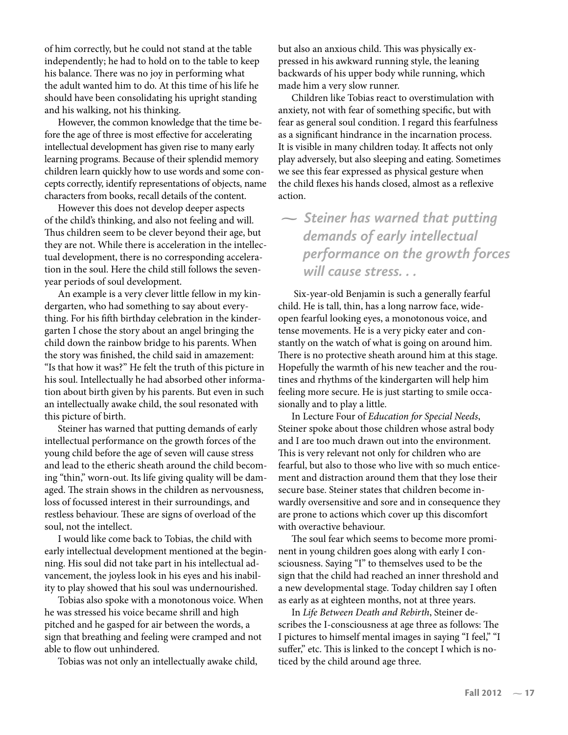of him correctly, but he could not stand at the table independently; he had to hold on to the table to keep his balance. There was no joy in performing what the adult wanted him to do. At this time of his life he should have been consolidating his upright standing and his walking, not his thinking.

However, the common knowledge that the time before the age of three is most effective for accelerating intellectual development has given rise to many early learning programs. Because of their splendid memory children learn quickly how to use words and some concepts correctly, identify representations of objects, name characters from books, recall details of the content.

However this does not develop deeper aspects of the child's thinking, and also not feeling and will. Thus children seem to be clever beyond their age, but they are not. While there is acceleration in the intellectual development, there is no corresponding acceleration in the soul. Here the child still follows the sevenyear periods of soul development.

An example is a very clever little fellow in my kindergarten, who had something to say about everything. For his �fth birthday celebration in the kindergarten I chose the story about an angel bringing the child down the rainbow bridge to his parents. When the story was finished, the child said in amazement: "Is that how it was?" He felt the truth of this picture in his soul. Intellectually he had absorbed other information about birth given by his parents. But even in such an intellectually awake child, the soul resonated with this picture of birth.

Steiner has warned that putting demands of early intellectual performance on the growth forces of the young child before the age of seven will cause stress and lead to the etheric sheath around the child becoming "thin," worn-out. Its life giving quality will be damaged. The strain shows in the children as nervousness, loss of focussed interest in their surroundings, and restless behaviour. These are signs of overload of the soul, not the intellect.

I would like come back to Tobias, the child with early intellectual development mentioned at the beginning. His soul did not take part in his intellectual advancement, the joyless look in his eyes and his inability to play showed that his soul was undernourished.

Tobias also spoke with a monotonous voice. When he was stressed his voice became shrill and high pitched and he gasped for air between the words, a sign that breathing and feeling were cramped and not able to flow out unhindered.

Tobias was not only an intellectually awake child,

but also an anxious child. This was physically expressed in his awkward running style, the leaning backwards of his upper body while running, which made him a very slow runner.

Children like Tobias react to overstimulation with anxiety, not with fear of something speci�c, but with fear as general soul condition. I regard this fearfulness as a significant hindrance in the incarnation process. It is visible in many children today. It affects not only play adversely, but also sleeping and eating. Sometimes we see this fear expressed as physical gesture when the child flexes his hands closed, almost as a reflexive action.

 *Steiner has warned that putting demands of early intellectual performance on the growth forces will cause stress. . .* 

 Six-year-old Benjamin is such a generally fearful child. He is tall, thin, has a long narrow face, wideopen fearful looking eyes, a monotonous voice, and tense movements. He is a very picky eater and constantly on the watch of what is going on around him. There is no protective sheath around him at this stage. Hopefully the warmth of his new teacher and the routines and rhythms of the kindergarten will help him feeling more secure. He is just starting to smile occasionally and to play a little.

In Lecture Four of *Education for Special Needs*, Steiner spoke about those children whose astral body and I are too much drawn out into the environment. This is very relevant not only for children who are fearful, but also to those who live with so much enticement and distraction around them that they lose their secure base. Steiner states that children become inwardly oversensitive and sore and in consequence they are prone to actions which cover up this discomfort with overactive behaviour.

The soul fear which seems to become more prominent in young children goes along with early I consciousness. Saying "I" to themselves used to be the sign that the child had reached an inner threshold and a new developmental stage. Today children say I often as early as at eighteen months, not at three years.

In *Life Between Death and Rebirth*, Steiner describes the I-consciousness at age three as follows: The I pictures to himself mental images in saying "I feel," "I suffer," etc. This is linked to the concept I which is noticed by the child around age three.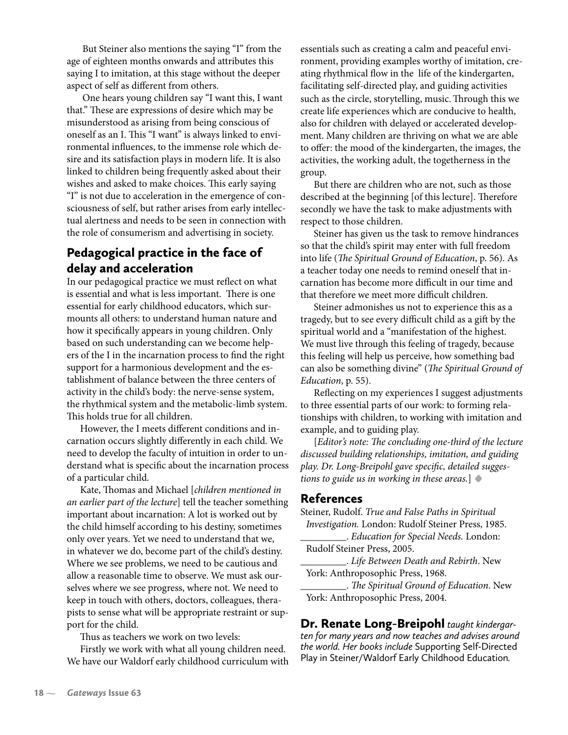But Steiner also mentions the saying "I" from the age of eighteen months onwards and attributes this saying I to imitation, at this stage without the deeper aspect of self as different from others.

 One hears young children say "I want this, I want that." These are expressions of desire which may be misunderstood as arising from being conscious of oneself as an I. This "I want" is always linked to environmental influences, to the immense role which desire and its satisfaction plays in modern life. It is also linked to children being frequently asked about their wishes and asked to make choices. This early saying "I" is not due to acceleration in the emergence of consciousness of self, but rather arises from early intellectual alertness and needs to be seen in connection with the role of consumerism and advertising in society.

## Pedagogical practice in the face of delay and acceleration

In our pedagogical practice we must reflect on what is essential and what is less important. There is one essential for early childhood educators, which surmounts all others: to understand human nature and how it specifically appears in young children. Only based on such understanding can we become helpers of the I in the incarnation process to find the right support for a harmonious development and the establishment of balance between the three centers of activity in the child's body: the nerve-sense system, the rhythmical system and the metabolic-limb system. This holds true for all children.

However, the I meets different conditions and incarnation occurs slightly differently in each child. We need to develop the faculty of intuition in order to understand what is specific about the incarnation process of a particular child.

Kate, Thomas and Michael [*children mentioned in an earlier part of the lecture*] tell the teacher something important about incarnation: A lot is worked out by the child himself according to his destiny, sometimes only over years. Yet we need to understand that we, in whatever we do, become part of the child's destiny. Where we see problems, we need to be cautious and allow a reasonable time to observe. We must ask ourselves where we see progress, where not. We need to keep in touch with others, doctors, colleagues, therapists to sense what will be appropriate restraint or support for the child.

Thus as teachers we work on two levels:

Firstly we work with what all young children need. We have our Waldorf early childhood curriculum with essentials such as creating a calm and peaceful environment, providing examples worthy of imitation, creating rhythmical flow in the life of the kindergarten, facilitating self-directed play, and guiding activities such as the circle, storytelling, music.Through this we create life experiences which are conducive to health, also for children with delayed or accelerated development. Many children are thriving on what we are able to offer: the mood of the kindergarten, the images, the activities, the working adult, the togetherness in the group.

But there are children who are not, such as those described at the beginning [of this lecture]. Therefore secondly we have the task to make adjustments with respect to those children.

Steiner has given us the task to remove hindrances so that the child's spirit may enter with full freedom into life (*The Spiritual Ground of Education*, p. 56). As a teacher today one needs to remind oneself that incarnation has become more difficult in our time and that therefore we meet more difficult children.

Steiner admonishes us not to experience this as a tragedy, but to see every difficult child as a gift by the spiritual world and a "manifestation of the highest. We must live through this feeling of tragedy, because this feeling will help us perceive, how something bad can also be something divine" (*The Spiritual Ground of Education*, p. 55).

Reflecting on my experiences I suggest adjustments to three essential parts of our work: to forming relationships with children, to working with imitation and example, and to guiding play.

[*Editor's note: The concluding one-third of the lecture discussed building relationships, imitation, and guiding play. Dr. Long-Breipohl gave speci�c, detailed suggestions to guide us in working in these areas.*] **•**

## References

Steiner, Rudolf. *True and False Paths in Spiritual Investigation.* London: Rudolf Steiner Press, 1985.

\_\_\_\_\_\_\_\_\_. *Education for Special Needs.* London: Rudolf Steiner Press, 2005.

\_\_\_\_\_\_\_\_\_. *Life Between Death and Rebirth*. New York: Anthroposophic Press, 1968.

\_\_\_\_\_\_\_\_\_. *The Spiritual Ground of Education*. New York: Anthroposophic Press, 2004.

Dr. Renate Long-Breipohl *taught kindergarten for many years and now teaches and advises around the world. Her books include* Supporting Self-Directed Play in Steiner/Waldorf Early Childhood Education*.*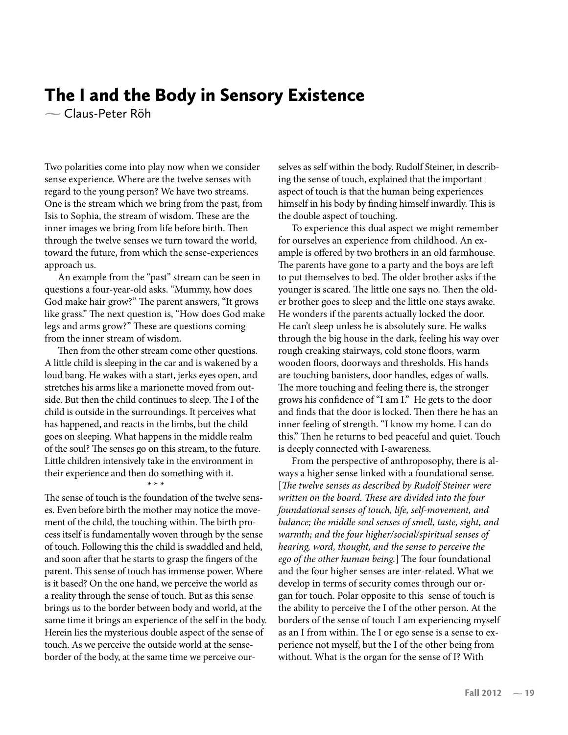## The I and the Body in Sensory Existence

Claus-Peter Röh

Two polarities come into play now when we consider sense experience. Where are the twelve senses with regard to the young person? We have two streams. One is the stream which we bring from the past, from Isis to Sophia, the stream of wisdom. These are the inner images we bring from life before birth. Then through the twelve senses we turn toward the world, toward the future, from which the sense-experiences approach us.

An example from the "past" stream can be seen in questions a four-year-old asks. "Mummy, how does God make hair grow?" The parent answers, "It grows like grass." The next question is, "How does God make legs and arms grow?" These are questions coming from the inner stream of wisdom.

Then from the other stream come other questions. A little child is sleeping in the car and is wakened by a loud bang. He wakes with a start, jerks eyes open, and stretches his arms like a marionette moved from outside. But then the child continues to sleep. The I of the child is outside in the surroundings. It perceives what has happened, and reacts in the limbs, but the child goes on sleeping. What happens in the middle realm of the soul? The senses go on this stream, to the future. Little children intensively take in the environment in their experience and then do something with it.

\* \* \*

The sense of touch is the foundation of the twelve senses. Even before birth the mother may notice the movement of the child, the touching within. The birth process itself is fundamentally woven through by the sense of touch. Following this the child is swaddled and held, and soon after that he starts to grasp the fingers of the parent. This sense of touch has immense power. Where is it based? On the one hand, we perceive the world as a reality through the sense of touch. But as this sense brings us to the border between body and world, at the same time it brings an experience of the self in the body. Herein lies the mysterious double aspect of the sense of touch. As we perceive the outside world at the senseborder of the body, at the same time we perceive ourselves as self within the body. Rudolf Steiner, in describing the sense of touch, explained that the important aspect of touch is that the human being experiences himself in his body by finding himself inwardly. This is the double aspect of touching.

To experience this dual aspect we might remember for ourselves an experience from childhood. An example is offered by two brothers in an old farmhouse. The parents have gone to a party and the boys are left to put themselves to bed. The older brother asks if the younger is scared. The little one says no. Then the older brother goes to sleep and the little one stays awake. He wonders if the parents actually locked the door. He can't sleep unless he is absolutely sure. He walks through the big house in the dark, feeling his way over rough creaking stairways, cold stone floors, warm wooden floors, doorways and thresholds. His hands are touching banisters, door handles, edges of walls. The more touching and feeling there is, the stronger grows his con�dence of "I am I." He gets to the door and finds that the door is locked. Then there he has an inner feeling of strength. "I know my home. I can do this." Then he returns to bed peaceful and quiet. Touch is deeply connected with I-awareness.

From the perspective of anthroposophy, there is always a higher sense linked with a foundational sense. [*The twelve senses as described by Rudolf Steiner were written on the board. These are divided into the four foundational senses of touch, life, self-movement, and balance; the middle soul senses of smell, taste, sight, and warmth; and the four higher/social/spiritual senses of hearing, word, thought, and the sense to perceive the ego of the other human being.*] The four foundational and the four higher senses are inter-related. What we develop in terms of security comes through our organ for touch. Polar opposite to this sense of touch is the ability to perceive the I of the other person. At the borders of the sense of touch I am experiencing myself as an I from within. The I or ego sense is a sense to experience not myself, but the I of the other being from without. What is the organ for the sense of I? With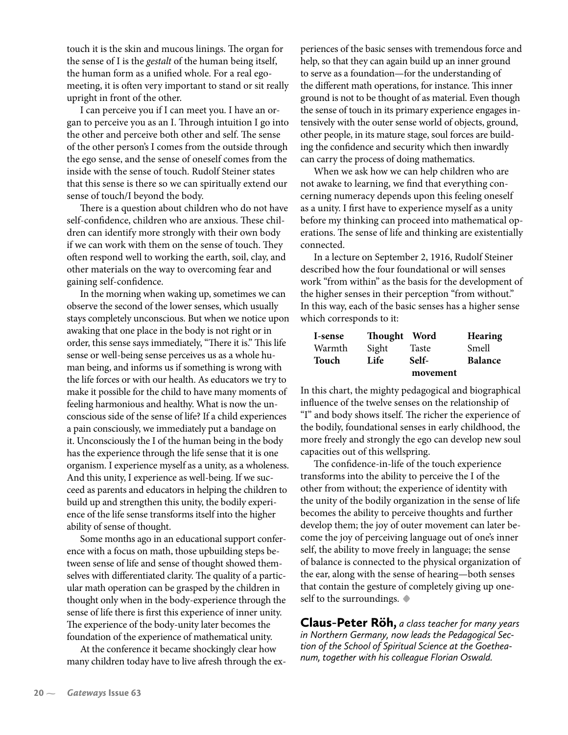touch it is the skin and mucous linings. The organ for the sense of I is the *gestalt* of the human being itself, the human form as a unified whole. For a real egomeeting, it is often very important to stand or sit really upright in front of the other.

I can perceive you if I can meet you. I have an organ to perceive you as an I. Through intuition I go into the other and perceive both other and self. The sense of the other person's I comes from the outside through the ego sense, and the sense of oneself comes from the inside with the sense of touch. Rudolf Steiner states that this sense is there so we can spiritually extend our sense of touch/I beyond the body.

There is a question about children who do not have self-confidence, children who are anxious. These children can identify more strongly with their own body if we can work with them on the sense of touch. They often respond well to working the earth, soil, clay, and other materials on the way to overcoming fear and gaining self-con�dence.

In the morning when waking up, sometimes we can observe the second of the lower senses, which usually stays completely unconscious. But when we notice upon awaking that one place in the body is not right or in order, this sense says immediately, "There it is." This life sense or well-being sense perceives us as a whole human being, and informs us if something is wrong with the life forces or with our health. As educators we try to make it possible for the child to have many moments of feeling harmonious and healthy. What is now the unconscious side of the sense of life? If a child experiences a pain consciously, we immediately put a bandage on it. Unconsciously the I of the human being in the body has the experience through the life sense that it is one organism. I experience myself as a unity, as a wholeness. And this unity, I experience as well-being. If we succeed as parents and educators in helping the children to build up and strengthen this unity, the bodily experience of the life sense transforms itself into the higher ability of sense of thought.

Some months ago in an educational support conference with a focus on math, those upbuilding steps between sense of life and sense of thought showed themselves with differentiated clarity. The quality of a particular math operation can be grasped by the children in thought only when in the body-experience through the sense of life there is first this experience of inner unity. The experience of the body-unity later becomes the foundation of the experience of mathematical unity.

At the conference it became shockingly clear how many children today have to live afresh through the experiences of the basic senses with tremendous force and help, so that they can again build up an inner ground to serve as a foundation—for the understanding of the different math operations, for instance. This inner ground is not to be thought of as material. Even though the sense of touch in its primary experience engages intensively with the outer sense world of objects, ground, other people, in its mature stage, soul forces are building the confidence and security which then inwardly can carry the process of doing mathematics.

When we ask how we can help children who are not awake to learning, we find that everything concerning numeracy depends upon this feeling oneself as a unity. I first have to experience myself as a unity before my thinking can proceed into mathematical operations. The sense of life and thinking are existentially connected.

In a lecture on September 2, 1916, Rudolf Steiner described how the four foundational or will senses work "from within" as the basis for the development of the higher senses in their perception "from without." In this way, each of the basic senses has a higher sense which corresponds to it:

| I-sense | Thought Word |          | <b>Hearing</b> |
|---------|--------------|----------|----------------|
| Warmth  | Sight        | Taste    | Smell          |
| Touch   | Life         | Self-    | <b>Balance</b> |
|         |              | movement |                |

In this chart, the mighty pedagogical and biographical influence of the twelve senses on the relationship of "I" and body shows itself. The richer the experience of the bodily, foundational senses in early childhood, the more freely and strongly the ego can develop new soul capacities out of this wellspring.

The confidence-in-life of the touch experience transforms into the ability to perceive the I of the other from without; the experience of identity with the unity of the bodily organization in the sense of life becomes the ability to perceive thoughts and further develop them; the joy of outer movement can later become the joy of perceiving language out of one's inner self, the ability to move freely in language; the sense of balance is connected to the physical organization of the ear, along with the sense of hearing—both senses that contain the gesture of completely giving up oneself to the surroundings. **•**

Claus-Peter Röh, *a class teacher for many years in Northern Germany, now leads the Pedagogical Section of the School of Spiritual Science at the Goetheanum, together with his colleague Florian Oswald.*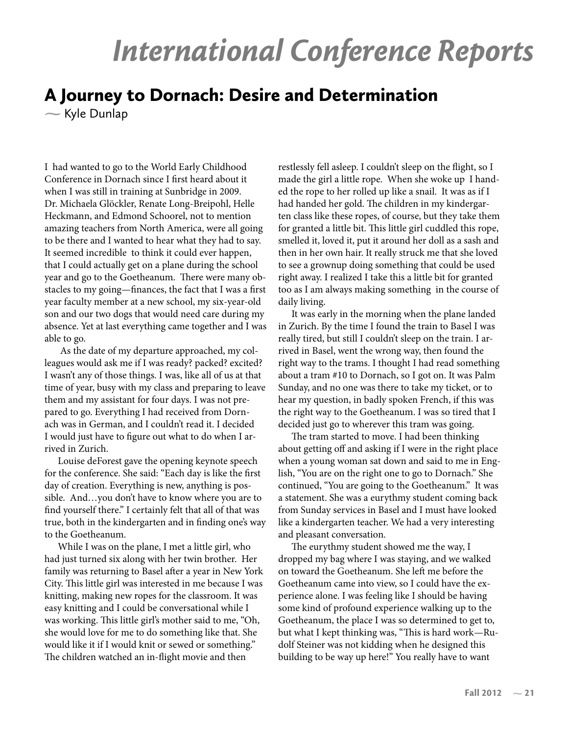# International Conference Reports

# A Journey to Dornach: Desire and Determination

 $\sim$  Kyle Dunlap

I had wanted to go to the World Early Childhood Conference in Dornach since I first heard about it when I was still in training at Sunbridge in 2009. Dr. Michaela Glöckler, Renate Long-Breipohl, Helle Heckmann, and Edmond Schoorel, not to mention amazing teachers from North America, were all going to be there and I wanted to hear what they had to say. It seemed incredible to think it could ever happen, that I could actually get on a plane during the school year and go to the Goetheanum. There were many obstacles to my going—finances, the fact that I was a first year faculty member at a new school, my six-year-old son and our two dogs that would need care during my absence. Yet at last everything came together and I was able to go.

 As the date of my departure approached, my colleagues would ask me if I was ready? packed? excited? I wasn't any of those things. I was, like all of us at that time of year, busy with my class and preparing to leave them and my assistant for four days. I was not prepared to go. Everything I had received from Dornach was in German, and I couldn't read it. I decided I would just have to figure out what to do when I arrived in Zurich.

Louise deForest gave the opening keynote speech for the conference. She said: "Each day is like the first day of creation. Everything is new, anything is possible. And…you don't have to know where you are to find yourself there." I certainly felt that all of that was true, both in the kindergarten and in finding one's way to the Goetheanum.

While I was on the plane, I met a little girl, who had just turned six along with her twin brother. Her family was returning to Basel after a year in New York City. This little girl was interested in me because I was knitting, making new ropes for the classroom. It was easy knitting and I could be conversational while I was working. This little girl's mother said to me, "Oh, she would love for me to do something like that. She would like it if I would knit or sewed or something." The children watched an in-flight movie and then

restlessly fell asleep. I couldn't sleep on the flight, so I made the girl a little rope. When she woke up I handed the rope to her rolled up like a snail. It was as if I had handed her gold. The children in my kindergarten class like these ropes, of course, but they take them for granted a little bit. This little girl cuddled this rope, smelled it, loved it, put it around her doll as a sash and then in her own hair. It really struck me that she loved to see a grownup doing something that could be used right away. I realized I take this a little bit for granted too as I am always making something in the course of daily living.

It was early in the morning when the plane landed in Zurich. By the time I found the train to Basel I was really tired, but still I couldn't sleep on the train. I arrived in Basel, went the wrong way, then found the right way to the trams. I thought I had read something about a tram #10 to Dornach, so I got on. It was Palm Sunday, and no one was there to take my ticket, or to hear my question, in badly spoken French, if this was the right way to the Goetheanum. I was so tired that I decided just go to wherever this tram was going.

The tram started to move. I had been thinking about getting off and asking if I were in the right place when a young woman sat down and said to me in English, "You are on the right one to go to Dornach." She continued, "You are going to the Goetheanum." It was a statement. She was a eurythmy student coming back from Sunday services in Basel and I must have looked like a kindergarten teacher. We had a very interesting and pleasant conversation.

The eurythmy student showed me the way, I dropped my bag where I was staying, and we walked on toward the Goetheanum. She left me before the Goetheanum came into view, so I could have the experience alone. I was feeling like I should be having some kind of profound experience walking up to the Goetheanum, the place I was so determined to get to, but what I kept thinking was, "This is hard work—Rudolf Steiner was not kidding when he designed this building to be way up here!" You really have to want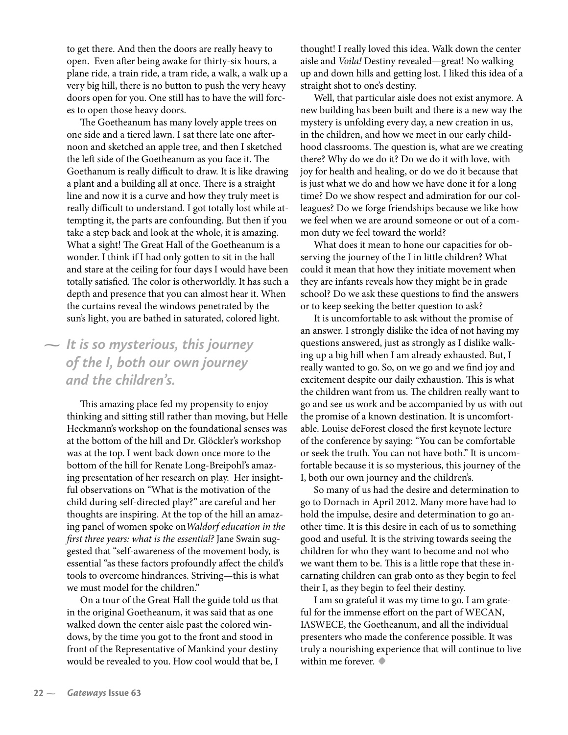to get there. And then the doors are really heavy to open. Even after being awake for thirty-six hours, a plane ride, a train ride, a tram ride, a walk, a walk up a very big hill, there is no button to push the very heavy doors open for you. One still has to have the will forces to open those heavy doors.

The Goetheanum has many lovely apple trees on one side and a tiered lawn. I sat there late one afternoon and sketched an apple tree, and then I sketched the left side of the Goetheanum as you face it. The Goethanum is really difficult to draw. It is like drawing a plant and a building all at once. There is a straight line and now it is a curve and how they truly meet is really difficult to understand. I got totally lost while attempting it, the parts are confounding. But then if you take a step back and look at the whole, it is amazing. What a sight! The Great Hall of the Goetheanum is a wonder. I think if I had only gotten to sit in the hall and stare at the ceiling for four days I would have been totally satis�ed. The color is otherworldly. It has such a depth and presence that you can almost hear it. When the curtains reveal the windows penetrated by the sun's light, you are bathed in saturated, colored light.

## *It is so mysterious, this journey of the I, both our own journey and the children's.*

This amazing place fed my propensity to enjoy thinking and sitting still rather than moving, but Helle Heckmann's workshop on the foundational senses was at the bottom of the hill and Dr. Glöckler's workshop was at the top. I went back down once more to the bottom of the hill for Renate Long-Breipohl's amazing presentation of her research on play. Her insightful observations on "What is the motivation of the child during self-directed play?" are careful and her thoughts are inspiring. At the top of the hill an amazing panel of women spoke on*Waldorf education in the �rst three years: what is the essential?* Jane Swain suggested that "self-awareness of the movement body, is essential "as these factors profoundly affect the child's tools to overcome hindrances. Striving—this is what we must model for the children."

On a tour of the Great Hall the guide told us that in the original Goetheanum, it was said that as one walked down the center aisle past the colored windows, by the time you got to the front and stood in front of the Representative of Mankind your destiny would be revealed to you. How cool would that be, I

thought! I really loved this idea. Walk down the center aisle and *Voila!* Destiny revealed—great! No walking up and down hills and getting lost. I liked this idea of a straight shot to one's destiny.

Well, that particular aisle does not exist anymore. A new building has been built and there is a new way the mystery is unfolding every day, a new creation in us, in the children, and how we meet in our early childhood classrooms. The question is, what are we creating there? Why do we do it? Do we do it with love, with joy for health and healing, or do we do it because that is just what we do and how we have done it for a long time? Do we show respect and admiration for our colleagues? Do we forge friendships because we like how we feel when we are around someone or out of a common duty we feel toward the world?

What does it mean to hone our capacities for observing the journey of the I in little children? What could it mean that how they initiate movement when they are infants reveals how they might be in grade school? Do we ask these questions to find the answers or to keep seeking the better question to ask?

It is uncomfortable to ask without the promise of an answer. I strongly dislike the idea of not having my questions answered, just as strongly as I dislike walking up a big hill when I am already exhausted. But, I really wanted to go. So, on we go and we find joy and excitement despite our daily exhaustion. This is what the children want from us. The children really want to go and see us work and be accompanied by us with out the promise of a known destination. It is uncomfortable. Louise deForest closed the first keynote lecture of the conference by saying: "You can be comfortable or seek the truth. You can not have both." It is uncomfortable because it is so mysterious, this journey of the I, both our own journey and the children's.

So many of us had the desire and determination to go to Dornach in April 2012. Many more have had to hold the impulse, desire and determination to go another time. It is this desire in each of us to something good and useful. It is the striving towards seeing the children for who they want to become and not who we want them to be. This is a little rope that these incarnating children can grab onto as they begin to feel their I, as they begin to feel their destiny.

I am so grateful it was my time to go. I am grateful for the immense effort on the part of WECAN, IASWECE, the Goetheanum, and all the individual presenters who made the conference possible. It was truly a nourishing experience that will continue to live within me forever. **•**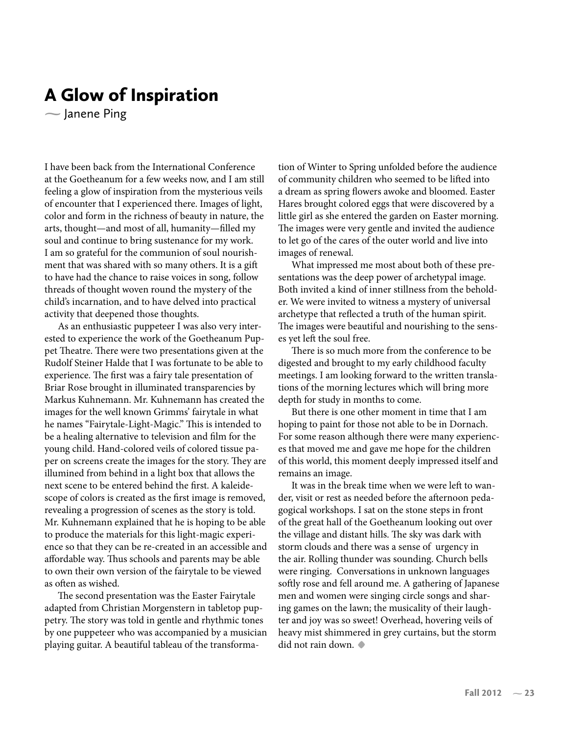## A Glow of Inspiration

 $\sim$  Janene Ping

I have been back from the International Conference at the Goetheanum for a few weeks now, and I am still feeling a glow of inspiration from the mysterious veils of encounter that I experienced there. Images of light, color and form in the richness of beauty in nature, the arts, thought—and most of all, humanity—filled my soul and continue to bring sustenance for my work. I am so grateful for the communion of soul nourishment that was shared with so many others. It is a gift to have had the chance to raise voices in song, follow threads of thought woven round the mystery of the child's incarnation, and to have delved into practical activity that deepened those thoughts.

As an enthusiastic puppeteer I was also very interested to experience the work of the Goetheanum Puppet Theatre. There were two presentations given at the Rudolf Steiner Halde that I was fortunate to be able to experience. The first was a fairy tale presentation of Briar Rose brought in illuminated transparencies by Markus Kuhnemann. Mr. Kuhnemann has created the images for the well known Grimms' fairytale in what he names "Fairytale-Light-Magic." This is intended to be a healing alternative to television and film for the young child. Hand-colored veils of colored tissue paper on screens create the images for the story. They are illumined from behind in a light box that allows the next scene to be entered behind the first. A kaleidescope of colors is created as the first image is removed, revealing a progression of scenes as the story is told. Mr. Kuhnemann explained that he is hoping to be able to produce the materials for this light-magic experience so that they can be re-created in an accessible and affordable way. Thus schools and parents may be able to own their own version of the fairytale to be viewed as often as wished.

The second presentation was the Easter Fairytale adapted from Christian Morgenstern in tabletop puppetry. The story was told in gentle and rhythmic tones by one puppeteer who was accompanied by a musician playing guitar. A beautiful tableau of the transformation of Winter to Spring unfolded before the audience of community children who seemed to be lifted into a dream as spring flowers awoke and bloomed. Easter Hares brought colored eggs that were discovered by a little girl as she entered the garden on Easter morning. The images were very gentle and invited the audience to let go of the cares of the outer world and live into images of renewal.

What impressed me most about both of these presentations was the deep power of archetypal image. Both invited a kind of inner stillness from the beholder. We were invited to witness a mystery of universal archetype that reflected a truth of the human spirit. The images were beautiful and nourishing to the senses yet left the soul free.

There is so much more from the conference to be digested and brought to my early childhood faculty meetings. I am looking forward to the written translations of the morning lectures which will bring more depth for study in months to come.

But there is one other moment in time that I am hoping to paint for those not able to be in Dornach. For some reason although there were many experiences that moved me and gave me hope for the children of this world, this moment deeply impressed itself and remains an image.

It was in the break time when we were left to wander, visit or rest as needed before the afternoon pedagogical workshops. I sat on the stone steps in front of the great hall of the Goetheanum looking out over the village and distant hills. The sky was dark with storm clouds and there was a sense of urgency in the air. Rolling thunder was sounding. Church bells were ringing. Conversations in unknown languages softly rose and fell around me. A gathering of Japanese men and women were singing circle songs and sharing games on the lawn; the musicality of their laughter and joy was so sweet! Overhead, hovering veils of heavy mist shimmered in grey curtains, but the storm did not rain down. **•**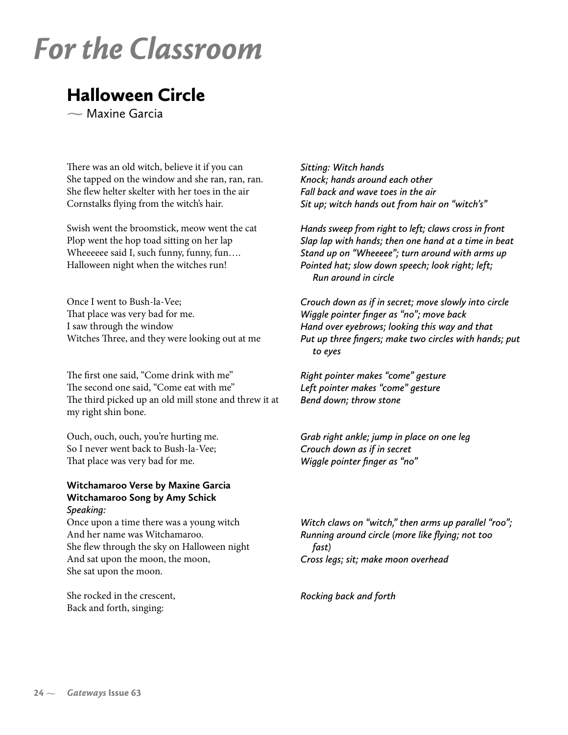# For the Classroom

# Halloween Circle

Maxine Garcia

There was an old witch, believe it if you can She tapped on the window and she ran, ran, ran. She flew helter skelter with her toes in the air Cornstalks flying from the witch's hair.

Swish went the broomstick, meow went the cat Plop went the hop toad sitting on her lap Wheeeeee said I, such funny, funny, fun.... Halloween night when the witches run!

Once I went to Bush-la-Vee; That place was very bad for me. I saw through the window Witches Three, and they were looking out at me

The first one said, "Come drink with me" The second one said, "Come eat with me" The third picked up an old mill stone and threw it at my right shin bone.

Ouch, ouch, ouch, you're hurting me. So I never went back to Bush-la-Vee; That place was very bad for me.

### **Witchamaroo Verse by Maxine Garcia Witchamaroo Song by Amy Schick** *Speaking:*

Once upon a time there was a young witch And her name was Witchamaroo. She flew through the sky on Halloween night And sat upon the moon, the moon, She sat upon the moon.

She rocked in the crescent, Back and forth, singing:

*Sitting: Witch hands Knock; hands around each other Fall back and wave toes in the air Sit up; witch hands out from hair on "witch's"* 

*Hands sweep from right to left; claws cross in front Slap lap with hands; then one hand at a time in beat Stand up on "Wheeeee"; turn around with arms up Pointed hat; slow down speech; look right; left; Run around in circle*

*Crouch down as if in secret; move slowly into circle Wiggle pointer finger as "no"; move back Hand over eyebrows; looking this way and that Put up three fingers; make two circles with hands; put to eyes*

*Right pointer makes "come" gesture Left pointer makes "come" gesture Bend down; throw stone*

*Grab right ankle; jump in place on one leg Crouch down as if in secret Wiggle pointer finger as "no"*

*Witch claws on "witch," then arms up parallel "roo"; Running around circle (more like flying; not too fast) Cross legs; sit; make moon overhead*

*Rocking back and forth*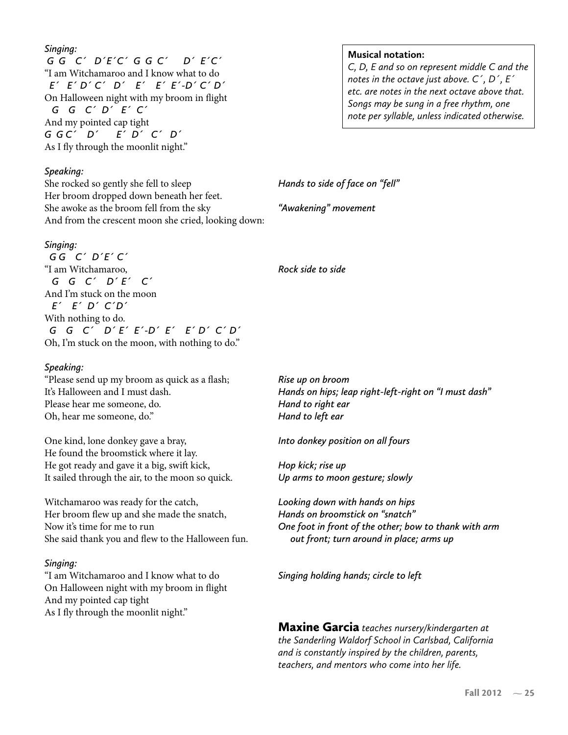### *Singing:*

 *G G C´ D´E´C´ G G C´ D´ E´C´*  "I am Witchamaroo and I know what to do  *E´ E´ D´ C´ D´ E´ E´ E´-D´ C´ D´* On Halloween night with my broom in �ight  *G G C´ D´ E´ C´* And my pointed cap tight *G G C´ D´ E´ D´ C´ D´* As I fly through the moonlit night."

### *Speaking:*

She rocked so gently she fell to sleep Her broom dropped down beneath her feet. She awoke as the broom fell from the sky And from the crescent moon she cried, looking down:

#### *Singing:*

 *G G C´ D´E´ C´* "I am Witchamaroo,  *G G C´ D´ E´ C´*  And I'm stuck on the moon  *E´ E´ D´ C´D´*  With nothing to do.  *G G C´ D´ E´ E´-D´ E´ E´ D´ C´ D´* Oh, I'm stuck on the moon, with nothing to do."

#### *Speaking:*

"Please send up my broom as quick as a flash; It's Halloween and I must dash. Please hear me someone, do. Oh, hear me someone, do."

One kind, lone donkey gave a bray, He found the broomstick where it lay. He got ready and gave it a big, swift kick, It sailed through the air, to the moon so quick.

Witchamaroo was ready for the catch, Her broom flew up and she made the snatch, Now it's time for me to run She said thank you and flew to the Halloween fun.

#### *Singing:*

"I am Witchamaroo and I know what to do On Halloween night with my broom in �ight And my pointed cap tight As I fly through the moonlit night."

#### **Musical notation:**

*C, D, E and so on represent middle C and the notes in the octave just above. C´, D´, E´ etc. are notes in the next octave above that. Songs may be sung in a free rhythm, one note per syllable, unless indicated otherwise.*

*Hands to side of face on "fell"*

*"Awakening" movement*

*Rock side to side*

*Rise up on broom Hands on hips; leap right-left-right on "I must dash" Hand to right ear Hand to left ear*

*Into donkey position on all fours*

*Hop kick; rise up Up arms to moon gesture; slowly*

*Looking down with hands on hips Hands on broomstick on "snatch" One foot in front of the other; bow to thank with arm out front; turn around in place; arms up*

*Singing holding hands; circle to left*

Maxine Garcia *teaches nursery/kindergarten at the Sanderling Waldorf School in Carlsbad, California and is constantly inspired by the children, parents, teachers, and mentors who come into her life.*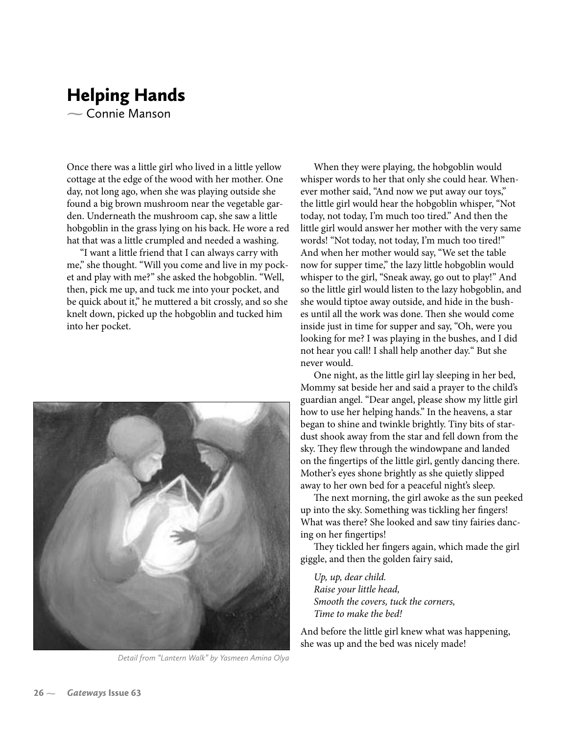## Helping Hands  $\sim$  Connie Manson

Once there was a little girl who lived in a little yellow cottage at the edge of the wood with her mother. One day, not long ago, when she was playing outside she found a big brown mushroom near the vegetable garden. Underneath the mushroom cap, she saw a little hobgoblin in the grass lying on his back. He wore a red hat that was a little crumpled and needed a washing.

"I want a little friend that I can always carry with me," she thought. "Will you come and live in my pocket and play with me?" she asked the hobgoblin. "Well, then, pick me up, and tuck me into your pocket, and be quick about it," he muttered a bit crossly, and so she knelt down, picked up the hobgoblin and tucked him into her pocket.



*Detail from "Lantern Walk" by Yasmeen Amina Olya*

When they were playing, the hobgoblin would whisper words to her that only she could hear. Whenever mother said, "And now we put away our toys," the little girl would hear the hobgoblin whisper, "Not today, not today, I'm much too tired." And then the little girl would answer her mother with the very same words! "Not today, not today, I'm much too tired!" And when her mother would say, "We set the table now for supper time," the lazy little hobgoblin would whisper to the girl, "Sneak away, go out to play!" And so the little girl would listen to the lazy hobgoblin, and she would tiptoe away outside, and hide in the bushes until all the work was done. Then she would come inside just in time for supper and say, "Oh, were you looking for me? I was playing in the bushes, and I did not hear you call! I shall help another day." But she never would.

One night, as the little girl lay sleeping in her bed, Mommy sat beside her and said a prayer to the child's guardian angel. "Dear angel, please show my little girl how to use her helping hands." In the heavens, a star began to shine and twinkle brightly. Tiny bits of stardust shook away from the star and fell down from the sky. They flew through the windowpane and landed on the fingertips of the little girl, gently dancing there. Mother's eyes shone brightly as she quietly slipped away to her own bed for a peaceful night's sleep.

The next morning, the girl awoke as the sun peeked up into the sky. Something was tickling her fingers! What was there? She looked and saw tiny fairies dancing on her fingertips!

They tickled her fingers again, which made the girl giggle, and then the golden fairy said,

*Up, up, dear child. Raise your little head, Smooth the covers, tuck the corners, Time to make the bed!*

And before the little girl knew what was happening, she was up and the bed was nicely made!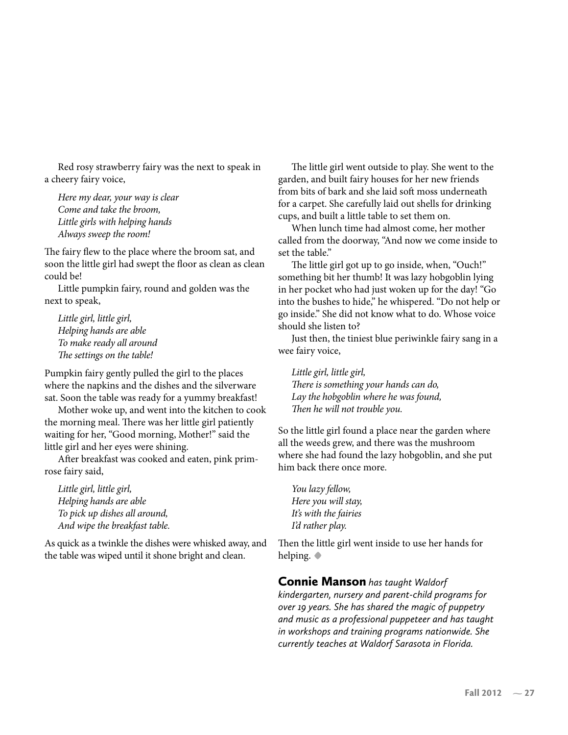Red rosy strawberry fairy was the next to speak in a cheery fairy voice,

*Here my dear, your way is clear Come and take the broom, Little girls with helping hands Always sweep the room!*

The fairy flew to the place where the broom sat, and soon the little girl had swept the floor as clean as clean could be!

Little pumpkin fairy, round and golden was the next to speak,

*Little girl, little girl, Helping hands are able To make ready all around The settings on the table!*

Pumpkin fairy gently pulled the girl to the places where the napkins and the dishes and the silverware sat. Soon the table was ready for a yummy breakfast!

Mother woke up, and went into the kitchen to cook the morning meal. There was her little girl patiently waiting for her, "Good morning, Mother!" said the little girl and her eyes were shining.

After breakfast was cooked and eaten, pink primrose fairy said,

*Little girl, little girl, Helping hands are able To pick up dishes all around, And wipe the breakfast table.*

As quick as a twinkle the dishes were whisked away, and the table was wiped until it shone bright and clean.

The little girl went outside to play. She went to the garden, and built fairy houses for her new friends from bits of bark and she laid soft moss underneath for a carpet. She carefully laid out shells for drinking cups, and built a little table to set them on.

When lunch time had almost come, her mother called from the doorway, "And now we come inside to set the table."

The little girl got up to go inside, when, "Ouch!" something bit her thumb! It was lazy hobgoblin lying in her pocket who had just woken up for the day! "Go into the bushes to hide," he whispered. "Do not help or go inside." She did not know what to do. Whose voice should she listen to?

Just then, the tiniest blue periwinkle fairy sang in a wee fairy voice,

*Little girl, little girl, There is something your hands can do, Lay the hobgoblin where he was found, Then he will not trouble you.*

So the little girl found a place near the garden where all the weeds grew, and there was the mushroom where she had found the lazy hobgoblin, and she put him back there once more.

*You lazy fellow, Here you will stay, It's with the fairies I'd rather play.*

Then the little girl went inside to use her hands for helping. **•**

Connie Manson *has taught Waldorf kindergarten, nursery and parent-child programs for over 19 years. She has shared the magic of puppetry and music as a professional puppeteer and has taught in workshops and training programs nationwide. She currently teaches at Waldorf Sarasota in Florida.*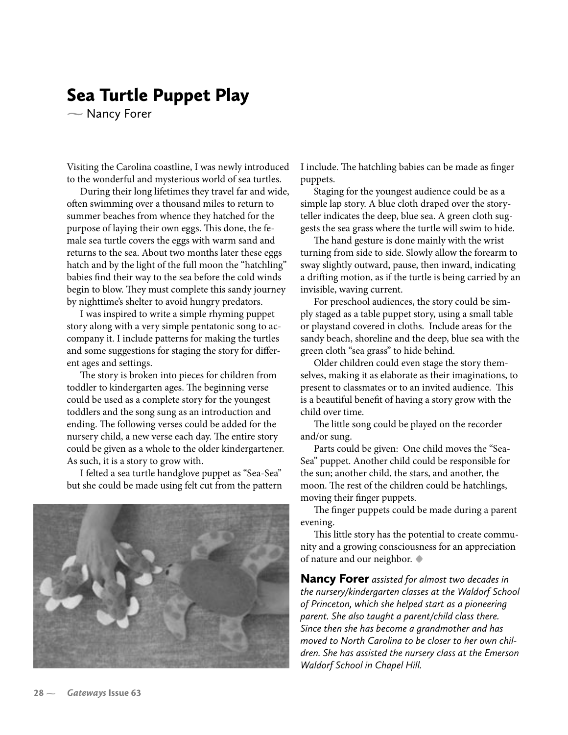## Sea Turtle Puppet Play

– Nancy Forer

Visiting the Carolina coastline, I was newly introduced to the wonderful and mysterious world of sea turtles.

During their long lifetimes they travel far and wide, often swimming over a thousand miles to return to summer beaches from whence they hatched for the purpose of laying their own eggs. This done, the female sea turtle covers the eggs with warm sand and returns to the sea. About two months later these eggs hatch and by the light of the full moon the "hatchling" babies �nd their way to the sea before the cold winds begin to blow. They must complete this sandy journey by nighttime's shelter to avoid hungry predators.

I was inspired to write a simple rhyming puppet story along with a very simple pentatonic song to accompany it. I include patterns for making the turtles and some suggestions for staging the story for different ages and settings.

The story is broken into pieces for children from toddler to kindergarten ages. The beginning verse could be used as a complete story for the youngest toddlers and the song sung as an introduction and ending. The following verses could be added for the nursery child, a new verse each day. The entire story could be given as a whole to the older kindergartener. As such, it is a story to grow with.

I felted a sea turtle handglove puppet as "Sea-Sea" but she could be made using felt cut from the pattern



I include. The hatchling babies can be made as finger puppets.

Staging for the youngest audience could be as a simple lap story. A blue cloth draped over the storyteller indicates the deep, blue sea. A green cloth suggests the sea grass where the turtle will swim to hide.

The hand gesture is done mainly with the wrist turning from side to side. Slowly allow the forearm to sway slightly outward, pause, then inward, indicating a drifting motion, as if the turtle is being carried by an invisible, waving current.

For preschool audiences, the story could be simply staged as a table puppet story, using a small table or playstand covered in cloths. Include areas for the sandy beach, shoreline and the deep, blue sea with the green cloth "sea grass" to hide behind.

Older children could even stage the story themselves, making it as elaborate as their imaginations, to present to classmates or to an invited audience. This is a beautiful bene�t of having a story grow with the child over time.

The little song could be played on the recorder and/or sung.

Parts could be given: One child moves the "Sea-Sea" puppet. Another child could be responsible for the sun; another child, the stars, and another, the moon. The rest of the children could be hatchlings, moving their finger puppets.

The finger puppets could be made during a parent evening.

This little story has the potential to create community and a growing consciousness for an appreciation of nature and our neighbor. **•**

Nancy Forer *assisted for almost two decades in the nursery/kindergarten classes at the Waldorf School of Princeton, which she helped start as a pioneering parent. She also taught a parent/child class there. Since then she has become a grandmother and has moved to North Carolina to be closer to her own children. She has assisted the nursery class at the Emerson Waldorf School in Chapel Hill.*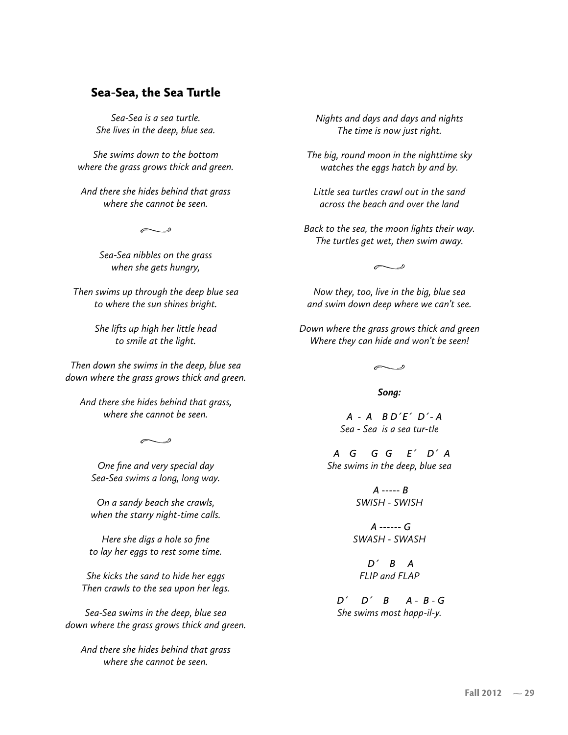### Sea-Sea, the Sea Turtle

*Sea-Sea is a sea turtle. She lives in the deep, blue sea.*

*She swims down to the bottom where the grass grows thick and green.*

*And there she hides behind that grass where she cannot be seen.*

 $\sim$   $\degree$ 

*Sea-Sea nibbles on the grass when she gets hungry,*

*Then swims up through the deep blue sea to where the sun shines bright.*

> *She lifts up high her little head to smile at the light.*

*Then down she swims in the deep, blue sea down where the grass grows thick and green.*

*And there she hides behind that grass, where she cannot be seen.*

 $\curvearrowright$ 

*One fine and very special day Sea-Sea swims a long, long way.*

*On a sandy beach she crawls, when the starry night-time calls.*

*Here she digs a hole so fine to lay her eggs to rest some time.*

*She kicks the sand to hide her eggs Then crawls to the sea upon her legs.*

*Sea-Sea swims in the deep, blue sea down where the grass grows thick and green.*

*And there she hides behind that grass where she cannot be seen.*

*Nights and days and days and nights The time is now just right.*

*The big, round moon in the nighttime sky watches the eggs hatch by and by.*

*Little sea turtles crawl out in the sand across the beach and over the land*

*Back to the sea, the moon lights their way. The turtles get wet, then swim away.*

 $\sim$  ...

*Now they, too, live in the big, blue sea and swim down deep where we can't see.*

*Down where the grass grows thick and green Where they can hide and won't be seen!*

 $\overline{\phantom{a}}$ 

*Song:*

 *A - A B D´E´ D´- A Sea - Sea is a sea tur-tle*

 *A G G G E´ D´ A She swims in the deep, blue sea*

> *A ----- B SWISH - SWISH*

 *A ------ G SWASH - SWASH*

 *D´ B A FLIP and FLAP*

 *D´ D´ B A - B - G She swims most happ-il-y.*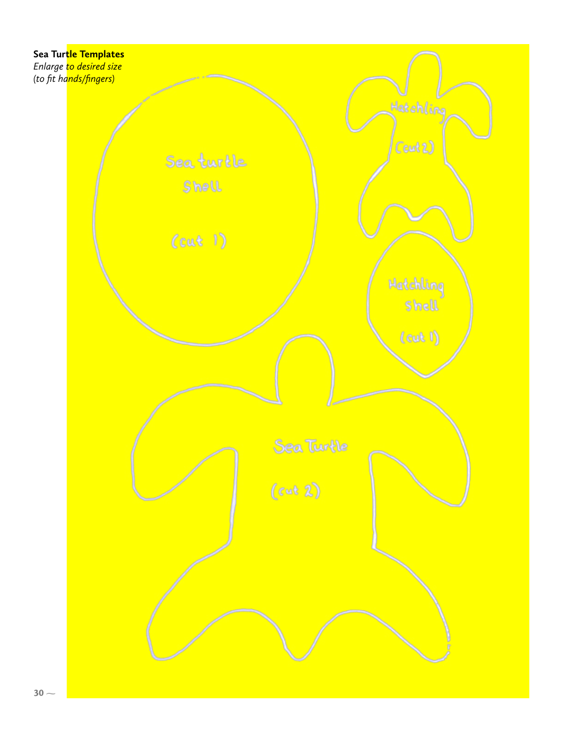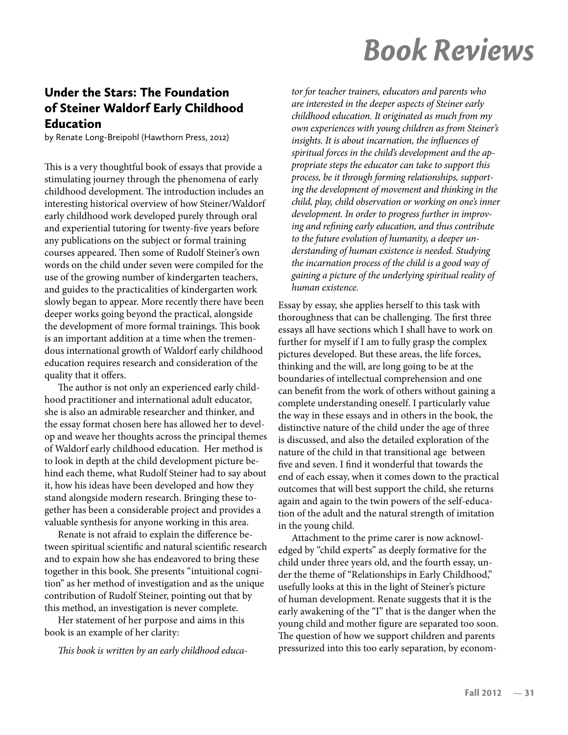# Book Reviews

## Under the Stars: The Foundation of Steiner Waldorf Early Childhood Education

by Renate Long-Breipohl (Hawthorn Press, 2012)

This is a very thoughtful book of essays that provide a stimulating journey through the phenomena of early childhood development. The introduction includes an interesting historical overview of how Steiner/Waldorf early childhood work developed purely through oral and experiential tutoring for twenty-five years before any publications on the subject or formal training courses appeared. Then some of Rudolf Steiner's own words on the child under seven were compiled for the use of the growing number of kindergarten teachers, and guides to the practicalities of kindergarten work slowly began to appear. More recently there have been deeper works going beyond the practical, alongside the development of more formal trainings. This book is an important addition at a time when the tremendous international growth of Waldorf early childhood education requires research and consideration of the quality that it offers.

The author is not only an experienced early childhood practitioner and international adult educator, she is also an admirable researcher and thinker, and the essay format chosen here has allowed her to develop and weave her thoughts across the principal themes of Waldorf early childhood education. Her method is to look in depth at the child development picture behind each theme, what Rudolf Steiner had to say about it, how his ideas have been developed and how they stand alongside modern research. Bringing these together has been a considerable project and provides a valuable synthesis for anyone working in this area.

Renate is not afraid to explain the difference between spiritual scientific and natural scientific research and to expain how she has endeavored to bring these together in this book. She presents "intuitional cognition" as her method of investigation and as the unique contribution of Rudolf Steiner, pointing out that by this method, an investigation is never complete.

Her statement of her purpose and aims in this book is an example of her clarity:

*This book is written by an early childhood educa-*

*tor for teacher trainers, educators and parents who are interested in the deeper aspects of Steiner early childhood education. It originated as much from my own experiences with young children as from Steiner's insights. It is about incarnation, the in�uences of spiritual forces in the child's development and the appropriate steps the educator can take to support this process, be it through forming relationships, supporting the development of movement and thinking in the child, play, child observation or working on one's inner development. In order to progress further in improving and re�ning early education, and thus contribute to the future evolution of humanity, a deeper understanding of human existence is needed. Studying the incarnation process of the child is a good way of gaining a picture of the underlying spiritual reality of human existence.* 

Essay by essay, she applies herself to this task with thoroughness that can be challenging. The first three essays all have sections which I shall have to work on further for myself if I am to fully grasp the complex pictures developed. But these areas, the life forces, thinking and the will, are long going to be at the boundaries of intellectual comprehension and one can bene�t from the work of others without gaining a complete understanding oneself. I particularly value the way in these essays and in others in the book, the distinctive nature of the child under the age of three is discussed, and also the detailed exploration of the nature of the child in that transitional age between five and seven. I find it wonderful that towards the end of each essay, when it comes down to the practical outcomes that will best support the child, she returns again and again to the twin powers of the self-education of the adult and the natural strength of imitation in the young child.

Attachment to the prime carer is now acknowledged by "child experts" as deeply formative for the child under three years old, and the fourth essay, under the theme of "Relationships in Early Childhood," usefully looks at this in the light of Steiner's picture of human development. Renate suggests that it is the early awakening of the "I" that is the danger when the young child and mother figure are separated too soon. The question of how we support children and parents pressurized into this too early separation, by econom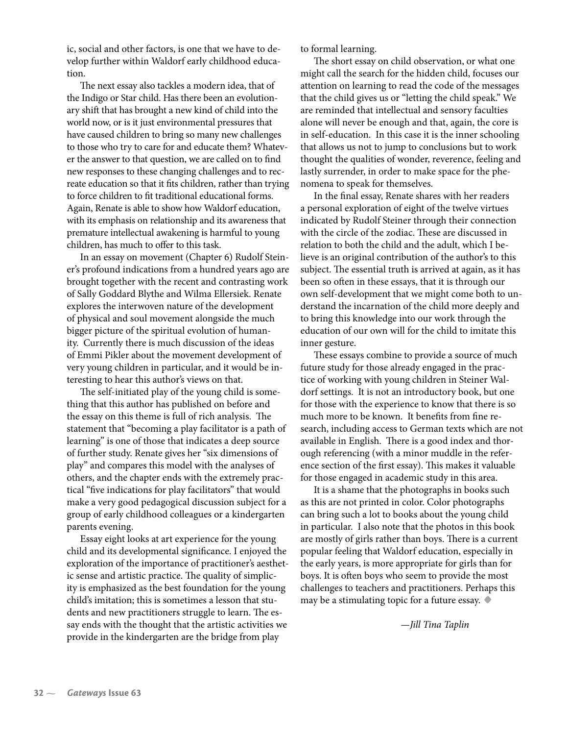ic, social and other factors, is one that we have to develop further within Waldorf early childhood education.

The next essay also tackles a modern idea, that of the Indigo or Star child. Has there been an evolutionary shift that has brought a new kind of child into the world now, or is it just environmental pressures that have caused children to bring so many new challenges to those who try to care for and educate them? Whatever the answer to that question, we are called on to find new responses to these changing challenges and to recreate education so that it fits children, rather than trying to force children to fit traditional educational forms. Again, Renate is able to show how Waldorf education, with its emphasis on relationship and its awareness that premature intellectual awakening is harmful to young children, has much to offer to this task.

In an essay on movement (Chapter 6) Rudolf Steiner's profound indications from a hundred years ago are brought together with the recent and contrasting work of Sally Goddard Blythe and Wilma Ellersiek. Renate explores the interwoven nature of the development of physical and soul movement alongside the much bigger picture of the spiritual evolution of humanity. Currently there is much discussion of the ideas of Emmi Pikler about the movement development of very young children in particular, and it would be interesting to hear this author's views on that.

The self-initiated play of the young child is something that this author has published on before and the essay on this theme is full of rich analysis. The statement that "becoming a play facilitator is a path of learning" is one of those that indicates a deep source of further study. Renate gives her "six dimensions of play" and compares this model with the analyses of others, and the chapter ends with the extremely practical "five indications for play facilitators" that would make a very good pedagogical discussion subject for a group of early childhood colleagues or a kindergarten parents evening.

Essay eight looks at art experience for the young child and its developmental signi�cance. I enjoyed the exploration of the importance of practitioner's aesthetic sense and artistic practice. The quality of simplicity is emphasized as the best foundation for the young child's imitation; this is sometimes a lesson that students and new practitioners struggle to learn. The essay ends with the thought that the artistic activities we provide in the kindergarten are the bridge from play

to formal learning.

The short essay on child observation, or what one might call the search for the hidden child, focuses our attention on learning to read the code of the messages that the child gives us or "letting the child speak." We are reminded that intellectual and sensory faculties alone will never be enough and that, again, the core is in self-education. In this case it is the inner schooling that allows us not to jump to conclusions but to work thought the qualities of wonder, reverence, feeling and lastly surrender, in order to make space for the phenomena to speak for themselves.

In the final essay, Renate shares with her readers a personal exploration of eight of the twelve virtues indicated by Rudolf Steiner through their connection with the circle of the zodiac. These are discussed in relation to both the child and the adult, which I believe is an original contribution of the author's to this subject. The essential truth is arrived at again, as it has been so often in these essays, that it is through our own self-development that we might come both to understand the incarnation of the child more deeply and to bring this knowledge into our work through the education of our own will for the child to imitate this inner gesture.

These essays combine to provide a source of much future study for those already engaged in the practice of working with young children in Steiner Waldorf settings. It is not an introductory book, but one for those with the experience to know that there is so much more to be known. It benefits from fine research, including access to German texts which are not available in English. There is a good index and thorough referencing (with a minor muddle in the reference section of the first essay). This makes it valuable for those engaged in academic study in this area.

It is a shame that the photographs in books such as this are not printed in color. Color photographs can bring such a lot to books about the young child in particular. I also note that the photos in this book are mostly of girls rather than boys. There is a current popular feeling that Waldorf education, especially in the early years, is more appropriate for girls than for boys. It is often boys who seem to provide the most challenges to teachers and practitioners. Perhaps this may be a stimulating topic for a future essay. **•**

*—Jill Tina Taplin*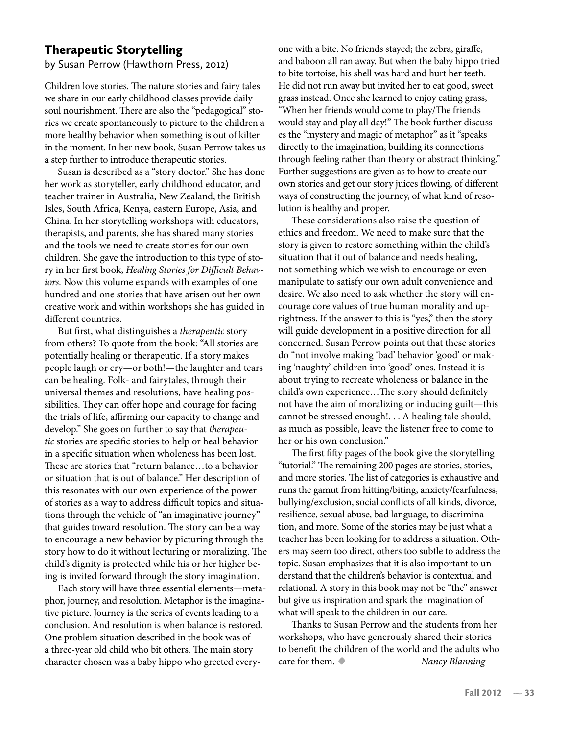### Therapeutic Storytelling

by Susan Perrow (Hawthorn Press, 2012)

Children love stories. The nature stories and fairy tales we share in our early childhood classes provide daily soul nourishment. There are also the "pedagogical" stories we create spontaneously to picture to the children a more healthy behavior when something is out of kilter in the moment. In her new book, Susan Perrow takes us a step further to introduce therapeutic stories.

Susan is described as a "story doctor." She has done her work as storyteller, early childhood educator, and teacher trainer in Australia, New Zealand, the British Isles, South Africa, Kenya, eastern Europe, Asia, and China. In her storytelling workshops with educators, therapists, and parents, she has shared many stories and the tools we need to create stories for our own children. She gave the introduction to this type of story in her �rst book, *Healing Stories for Difficult Behaviors.* Now this volume expands with examples of one hundred and one stories that have arisen out her own creative work and within workshops she has guided in different countries.

But first, what distinguishes a *therapeutic* story from others? To quote from the book: "All stories are potentially healing or therapeutic. If a story makes people laugh or cry—or both!—the laughter and tears can be healing. Folk- and fairytales, through their universal themes and resolutions, have healing possibilities. They can offer hope and courage for facing the trials of life, affirming our capacity to change and develop." She goes on further to say that *therapeutic* stories are speci�c stories to help or heal behavior in a specific situation when wholeness has been lost. These are stories that "return balance…to a behavior or situation that is out of balance." Her description of this resonates with our own experience of the power of stories as a way to address difficult topics and situations through the vehicle of "an imaginative journey" that guides toward resolution. The story can be a way to encourage a new behavior by picturing through the story how to do it without lecturing or moralizing. The child's dignity is protected while his or her higher being is invited forward through the story imagination.

Each story will have three essential elements—metaphor, journey, and resolution. Metaphor is the imaginative picture. Journey is the series of events leading to a conclusion. And resolution is when balance is restored. One problem situation described in the book was of a three-year old child who bit others. The main story character chosen was a baby hippo who greeted everyone with a bite. No friends stayed; the zebra, giraffe, and baboon all ran away. But when the baby hippo tried to bite tortoise, his shell was hard and hurt her teeth. He did not run away but invited her to eat good, sweet grass instead. Once she learned to enjoy eating grass, "When her friends would come to play/The friends would stay and play all day!" The book further discusses the "mystery and magic of metaphor" as it "speaks directly to the imagination, building its connections through feeling rather than theory or abstract thinking." Further suggestions are given as to how to create our own stories and get our story juices flowing, of different ways of constructing the journey, of what kind of resolution is healthy and proper.

These considerations also raise the question of ethics and freedom. We need to make sure that the story is given to restore something within the child's situation that it out of balance and needs healing, not something which we wish to encourage or even manipulate to satisfy our own adult convenience and desire. We also need to ask whether the story will encourage core values of true human morality and uprightness. If the answer to this is "yes," then the story will guide development in a positive direction for all concerned. Susan Perrow points out that these stories do "not involve making 'bad' behavior 'good' or making 'naughty' children into 'good' ones. Instead it is about trying to recreate wholeness or balance in the child's own experience...The story should definitely not have the aim of moralizing or inducing guilt—this cannot be stressed enough!. . . A healing tale should, as much as possible, leave the listener free to come to her or his own conclusion."

The first fifty pages of the book give the storytelling "tutorial." The remaining 200 pages are stories, stories, and more stories. The list of categories is exhaustive and runs the gamut from hitting/biting, anxiety/fearfulness, bullying/exclusion, social con�icts of all kinds, divorce, resilience, sexual abuse, bad language, to discrimination, and more. Some of the stories may be just what a teacher has been looking for to address a situation. Others may seem too direct, others too subtle to address the topic. Susan emphasizes that it is also important to understand that the children's behavior is contextual and relational. A story in this book may not be "the" answer but give us inspiration and spark the imagination of what will speak to the children in our care.

Thanks to Susan Perrow and the students from her workshops, who have generously shared their stories to benefit the children of the world and the adults who care for them.**•** *—Nancy Blanning*